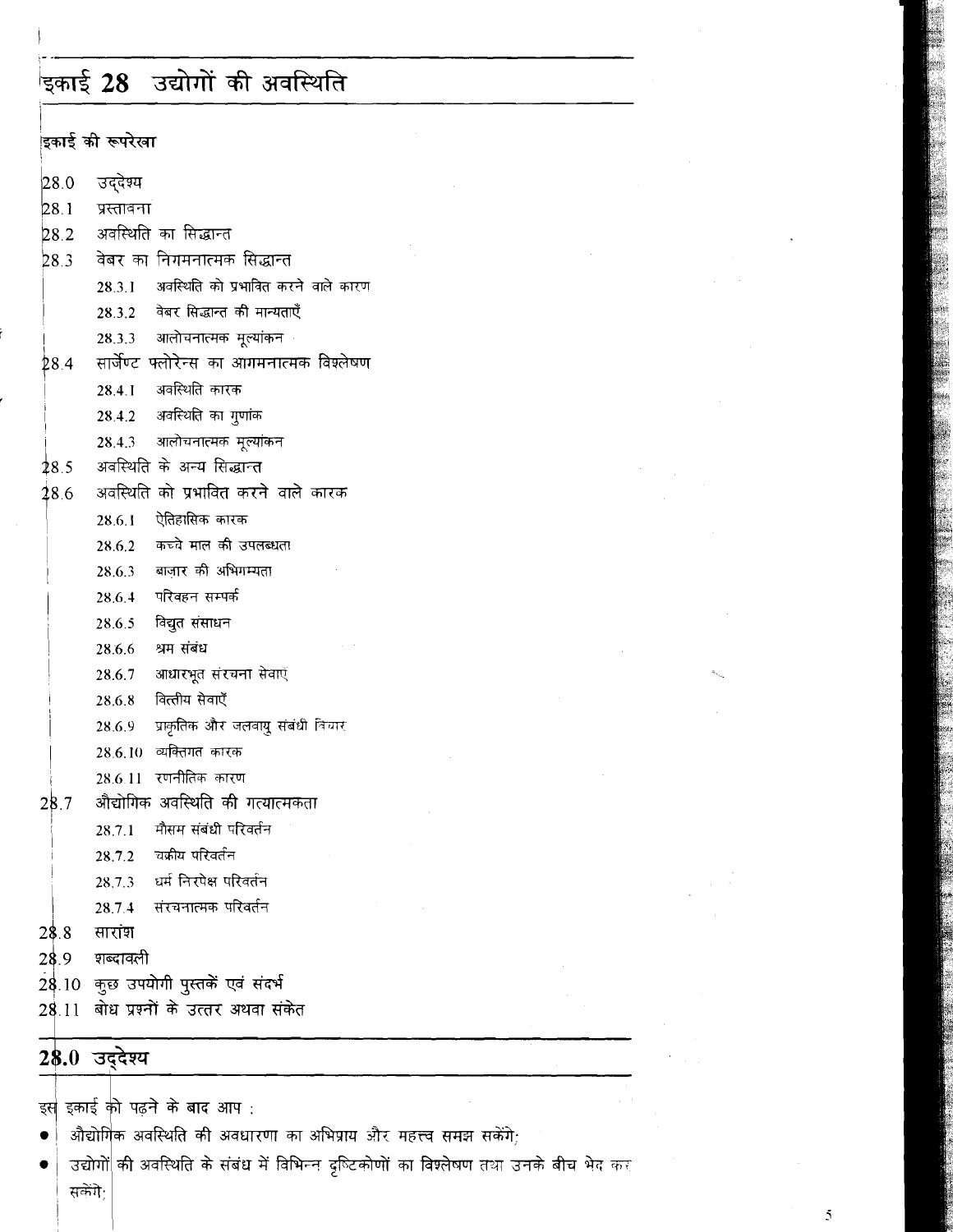# ।<br>इकाई 28 उद्योगों की अवस्थिति

.<br>डिकार्ड की रूपरेखा 28.0 उददेश्य  $28.1$ प्रस्तावना अवस्थिति का सिद्धान्त 282 वेबर का निगमनात्मक सिद्धान्त  $28.3$  $28.3.1$ अवस्थिति को प्रभावित करने वाले कारण वेबर सिद्धान्त की मान्यताएँ 28.3.2 आलोचनात्मक मूल्यांकन 28.3.3 सार्जेण्ट फ्लोरेन्स का आगमनात्मक विश्लेषण  $28.4$ अवस्थिति कारक  $28.4.1$ अवस्थिति का गुणांक 28.4.2  $28.4.3$ आलोचनात्मक मूल्यांकन  $28.5$ अवस्थिति के अन्य सिद्धान्त अवस्थिति को प्रभावित करने वाले कारक  $18.6$  $28.6.1$ ऐतिहासिक कारक 28.6.2 कच्चे माल की उपलब्धता बाजार की अभिगम्यता 28.6.3 परिवहन सम्पर्क 28.6.4 28.6.5 विद्युत संसाधन श्रम संबंध 28.6.6 आधारभूत संरचना सेवाएँ 28.6.7 28.6.8 वित्तीय सेवाएँ प्राकृतिक और जलवायु संबंधी विचार 28.6.9 28.6.10 व्यक्तिगत कारक 28.6.11 रणनीतिक कारण औद्योगिक अवस्थिति की गत्यात्मकता  $28.7$ मौसम संबंधी परिवर्तन  $28.7.1$ ंचक्रीय परिवर्तन  $28.7.2$ धर्म निरपेक्ष परिवर्तन 28.7.3 संरचनात्मक परिवर्तन 28.7.4  $28.8$ सारांश 28.9 शब्दावली 28.10 कुछ उपयोगी पुस्तकें एवं संदर्भ 28.11 बोध प्रश्नों के उत्तर अथवा संकेत 28.0 उद्देश्य

इस इकाई को पढ़ने के बाद आप:

- औद्योगिक अवस्थिति की अवधारणा का अभिप्राय और महत्त्व समझ सकेंगे;
- उद्योगों की अवस्थिति के संबंध में विभिन्न दृष्टिकोणों का विश्लेषण तथा उनके बीच भेद कर  $\bullet$ सकेंगे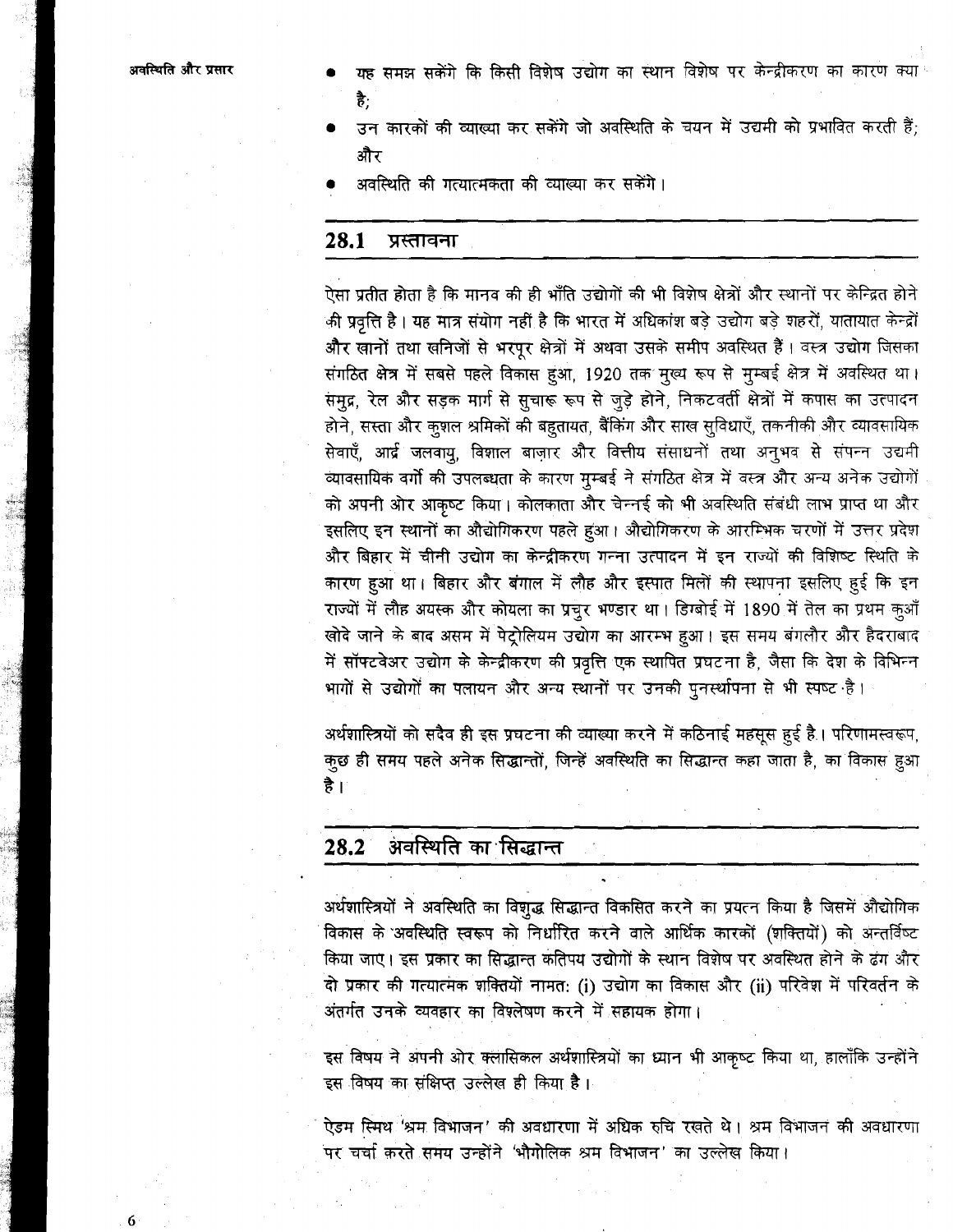अवस्थिति और प्रसार

6

- यह समझ सकेंगे कि किसी विशेष उद्योग का स्थान विशेष पर केन्द्रीकरण का कारण क्या है:
- उन कारकों की व्याख्या कर सकेंगे जो अवस्थिति के चयन में उद्यमी को प्रभावित करती हैं: और
- अवस्थिति की गत्यात्मकता की व्याख्या कर सकेंगे।

#### 28.1 प्रस्तावना

ऐसा प्रतीत होता है कि मानव की ही भाँति उद्योगों की भी विशेष क्षेत्रों और स्थानों पर केन्द्रित होने की प्रवृत्ति है। यह मात्र संयोग नहीं है कि भारत में अधिकांश बड़े उद्योग बड़े शहरों, यातायात केन्द्रों और खानों तथा खनिजों से भरपूर क्षेत्रों में अथवा उसके समीप अवस्थित हैं। वस्त्र उद्योग जिसका संगठित क्षेत्र में सबसे पहले विकास हुआ, 1920 तक मुख्य रूप से मुम्बई क्षेत्र में अवस्थित था। समृद्र, रेल और सड़क मार्ग से सुचारू रूप से जुड़े होने, निकटवर्ती क्षेत्रों में कपास का उत्पादन होने, सस्ता और कुशल श्रमिकों की बहुतायत, बैंकिंग और साख सुविधाएँ, तकनीकी और व्यावसायिक सेवाएँ, आर्द्र जलवायू, विशाल बाज़ार और वित्तीय संसाधनों तथा अनुभव से संपन्न उद्यमी व्यावसायिक वर्गो की उपलब्धता के कारण मुम्बई ने संगठित क्षेत्र में वस्त्र और अन्य अनेक उद्योगों को अपनी ओर आकृष्ट किया। कोलकाता और चेन्नई को भी अवस्थिति संबंधी लाभ प्राप्त था और इसलिए इन स्थानों का औद्योगिकरण पहले हुआ। औद्योगिकरण के आरम्भिक चरणों में उत्तर प्रदेश और बिहार में चीनी उद्योग का केन्द्रीकरण गन्ना उत्पादन में इन राज्यों की विशिष्ट स्थिति के कारण हुआ था। बिहार और बंगाल में लौह और इस्पात मिलों की स्थापना इसलिए हुई कि इन राज्यों में लौह अयस्क और कोयला का प्रचुर भण्डार था। डिग्बोई में 1890 में तेल का प्रथम कुआँ खोदे जाने के बाद असम में पेट्रोलियम उद्योग का आरम्भ हुआ। इस समय बंगलौर और हैदराबाद में सॉफ्टवेअर उद्योग के केन्द्रीकरण की प्रवृत्ति एक स्थापित प्रघटना है, जैसा कि देश के विभिन्न भागों से उद्योगों का पलायन और अन्य स्थानों पर उनकी पुनर्स्थापना से भी स्पष्ट है।

अर्थशास्त्रियों को सदैव ही इस प्रघटना की व्याख्या करने में कठिनाई महसूस हुई है। परिणामस्वरूप, कुछ ही समय पहले अनेक सिद्धान्तों, जिन्हें अवस्थिति का सिद्धान्त कहा जाता है, का विकास हुआ है ।

#### अवस्थिति का सिद्धान्त 28.2

अर्थशास्त्रियों ने अवस्थिति का विशुद्ध सिद्धान्त विकसित करने का प्रयत्न किया है जिसमें औद्योगिक विकास के अवस्थिति स्वरूप को निर्धारित करने वाले आर्थिक कारकों (शक्तियों) को अन्तर्विष्ट किया जाए। इस प्रकार का सिद्धान्त कतिपय उद्योगों के स्थान विशेष पर अवस्थित होने के ढंग और दो प्रकार की गत्यात्मक शक्तियों नामत: (i) उद्योग का विकास और (ii) परिवेश में परिवर्तन के अंतर्गत उनके व्यवहार का विश्लेषण करने में सहायक होगा।

इस विषय ने अपनी ओर क्लासिकल अर्थशास्त्रियों का ध्यान भी आकृष्ट किया था, हालाँकि उन्होंने इस विषय का संक्षिप्त उल्लेख ही किया है।

ऐडम स्मिथ 'श्रम विभाजन' की अवधारणा में अधिक रुचि रखते थे। श्रम विभाजन की अवधारणा पर चर्चा करते समय उन्होंने 'भौगोलिक श्रम विभाजन' का उल्लेख किया।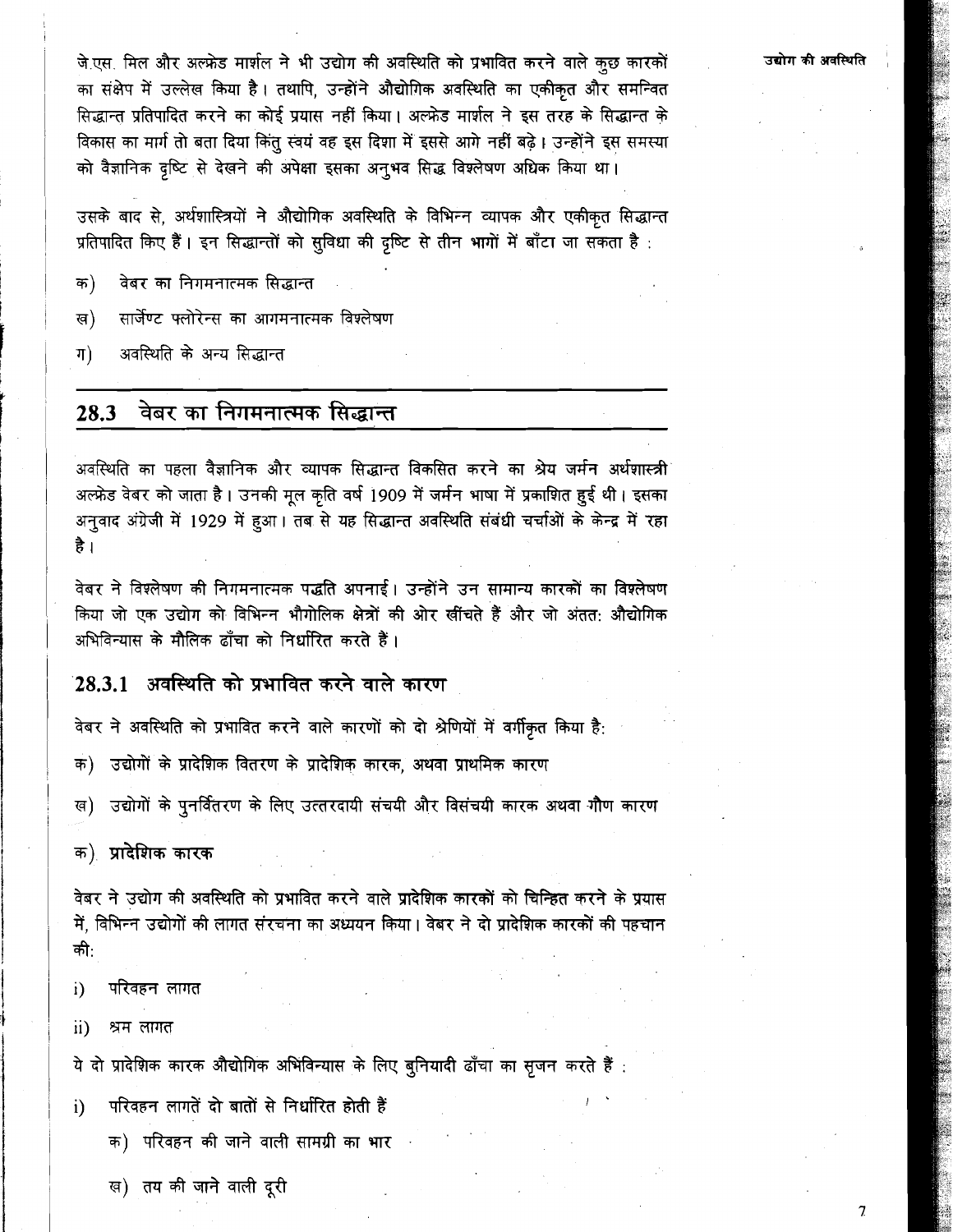जे.एस. मिल और अल्फ्रेड मार्शल ने भी उद्योग की अवस्थिति को प्रभावित करने वाले कुछ कारकों का संक्षेप में उल्लेख किया है। तथापि, उन्होंने औद्योगिक अवस्थिति का एकीकृत और समन्वित सिद्धान्त प्रतिपादित करने का कोई प्रयास नहीं किया। अल्फ्रेड मार्शल ने इस तरह के सिद्धान्त के विकास का मार्ग तो बता दिया किंतु स्वयं वह इस दिशा में इससे आगे नहीं बढ़े। उन्होंने इस समस्या को वैज्ञानिक दृष्टि से देखने की अपेक्षा इसका अनुभव सिद्ध विश्लेषण अधिक किया था।

उसके बाद से, अर्थशास्त्रियों ने औद्योगिक अवस्थिति के विभिन्न व्यापक और एकीकृत सिद्धान्त प्रतिपादित किए हैं। इन सिद्धान्तों को सुविधा की दृष्टि से तीन भागों में बाँटा जा सकता है:

- वेबर का निगमनात्मक सिद्धान्त क)
- सार्जेण्ट फ्लोरेन्स का आगमनात्मक विश्लेषण ख)
- अवस्थिति के अन्य सिद्धान्त  $\Pi$

#### वेबर का निगमनात्मक सिद्धान्त 28.3

अवस्थिति का पहला वैज्ञानिक और व्यापक सिद्धान्त विकसित करने का श्रेय जर्मन अर्थशास्त्री अल्फ्रेड वेबर को जाता है। उनकी मूल कृति वर्ष 1909 में जर्मन भाषा में प्रकाशित हुई थी। इसका अनुवाद अंग्रेजी में 1929 में हुआ। तब से यह सिद्धान्त अवस्थिति संबंधी चर्चाओं के केन्द्र में रहा है ।

वेबर ने विश्लेषण की निगमनात्मक पद्धति अपनाई। उन्होंने उन सामान्य कारकों का विश्लेषण किया जो एक उद्योग को विभिन्न भौगोलिक क्षेत्रों की ओर खींचते हैं और जो अंतत: औद्योगिक अभिविन्यास के मौलिक ढाँचा को निर्धारित करते हैं।

## 28.3.1 अवस्थिति को प्रभावित करने वाले कारण

वेबर ने अवस्थिति को प्रभावित करने वाले कारणों को दो श्रेणियों में वर्गीकृत किया है:

- क) उद्योगों के प्रादेशिक वितरण के प्रादेशिक कारक, अथवा प्राथमिक कारण
- ख) उद्योगों के पुनर्वितरण के लिए उत्तरदायी संचयी और विसंचयी कारक अथवा गौण कारण

क) प्रादेशिक कारक

वेबर ने उद्योग की अवस्थिति को प्रभावित करने वाले प्रादेशिक कारकों को चिन्हित करने के प्रयास में, विभिन्न उद्योगों की लागत संरचना का अध्ययन किया। वेबर ने दो प्रादेशिक कारकों की पहचान की:

- परिवहन लागत i)
- $\mathbf{ii}$ श्रम लागत

ये दो प्रादेशिक कारक औद्योगिक अभिविन्यास के लिए बुनियादी ढाँचा का सृजन करते हैं :

- परिवहन लागतें दो बातों से निर्धारित होती हैं i)
	- क) परिवहन की जाने वाली सामग्री का भार
	- ख) तय की जाने वाली दूरी

 $\overline{7}$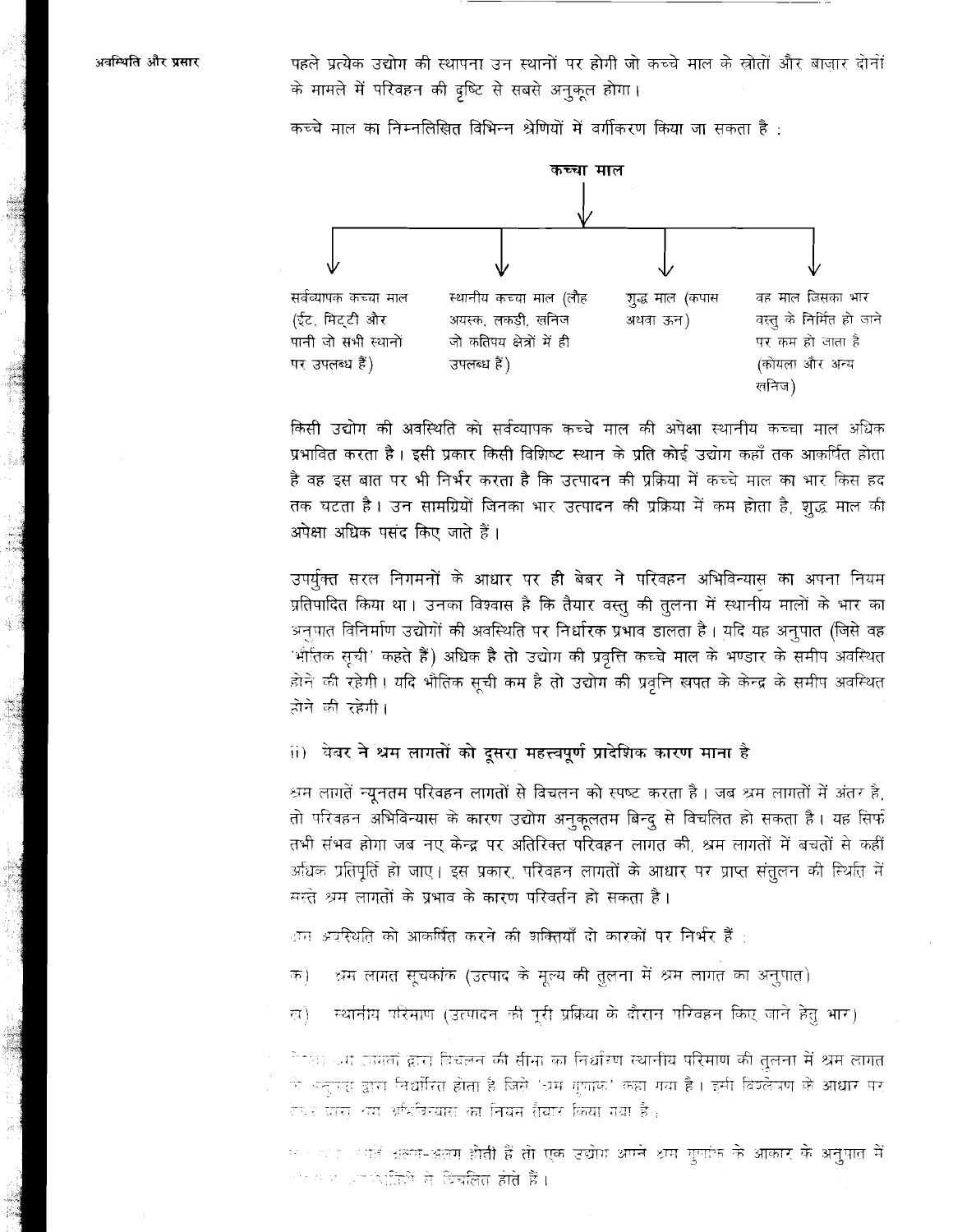पहले प्रत्येक उद्योग की स्थापना उन स्थानों पर होगी जो कच्चे माल के स्रोतों और बाजार दोनों के मामले में परिवहन की दृष्टि से सबसे अनुकूल होगा।

कच्चा माल सर्वव्यापक कच्चा माल स्थानीय कच्चा माल (लौह गूद्ध माल (कपास वह माल जिसका भार अयस्क, लकडी, खनिज वस्तु के निर्मित हो जाने (ईट, मिट्टी और अथवा ऊन) जो कतिपय क्षेत्रों में ही पानी जो सभी स्थानों पर कम हो जाता है पर उपलब्ध हैं) उपलब्ध हैं) (कोयला और अन्य लनिज)

कच्चे माल का निम्नलिखित विभिन्न श्रेणियों में वर्गीकरण किया जा सकता है :

किसी उद्योग की अवस्थिति को सर्वव्यापक कच्चे माल की अपेक्षा स्थानीय कच्चा माल अधिक प्रभावित करता है। इसी प्रकार किसी विशिष्ट स्थान के प्रति कोई उद्योग कहाँ तक आकर्षित होता है वह इस बात पर भी निर्भर करता है कि उत्पादन की प्रक्रिया में कच्चे माल का भार किस हद तक घटता है। उन सामग्रियों जिनका भार उत्पादन की प्रक्रिया में कम होता है, शुद्ध माल की अपेक्षा अधिक पसंद किए जाते हैं।

उपर्युक्त सरल निगमनों के आधार पर ही बेबर ने परिवहन अभिविन्यास का अपना नियम प्रतिपादित किया था। उनका विश्वास है कि तैयार वस्तू की तूलना में स्थानीय मालों के भार का अनुपात विनिर्माण उद्योगों की अवस्थिति पर निर्धारक प्रभाव डालता है। यदि यह अनुपात (जिसे वह 'भौतिक सूची' कहते हैं) अधिक है तो उद्योग की प्रवृत्ति कच्चे माल के भण्डार के समीप अवस्थित होने की रहेगी। यदि भौतिक सूची कम है तो उद्योग की प्रवृत्ति खपत के केन्द्र के समीप अवस्थित होने की रहेगी।

ii) वेबर ने श्रम लागतों को दूसरा महत्त्वपूर्ण प्रादेशिक कारण माना है

श्रम लागतें न्यूनतम परिवहन लागतों से विचलन को स्पष्ट करता है। जब श्रम लागतों में अंतर है, तो परिवहन अभिविन्यास के कारण उद्योग अनुकूलतम बिन्दू से विचलित हो सकता है। यह सिर्फ तभी संभव होगा जब नए केन्द्र पर अतिरिक्त परिवहन लागत की, श्रम लागतों में बचतों से कहीं अधिक प्रतिपूर्ति हो जाए। इस प्रकार, परिवहन लागतों के आधार पर प्राप्त संतुलन की स्थिति में सस्ते श्रम लागतों के प्रभाव के कारण परिवर्तन हो सकता है।

ाम अवस्थिति को आकर्षित करने की शक्तियाँ दो कारकों पर निर्भर हैं :

श्रम लागत सूचकांक (उत्पाद के मूल्य की तुलना में श्रम लागत का अनुपात) ক)

स्थानीय परिमाण (उत्पादन की पूरी प्रक्रिया के दौरान परिवहन किए जाने हेतु भार) ख)

ैं हैं। जग इनकों द्वारा विचलन की सीमा का निर्धारण स्थानीय परिमाण की तुलना में श्रम लागत ो अन्तरस द्वारा निर्धारित होता है जिसे 'ध्रम गुणाक' कहा गया है। इसी विश्लेषण के आधार पर .<br>रेणर ग्रास टामू अधिवित्यास का नियम रीयार किया गया है :

म 1000 हैं अलग-अलग होती हैं तो एक उद्योग अपने थम गुपांक के आकार के अनुपात में एक साथ आप वेदलियें से विच**लित होते हैं।**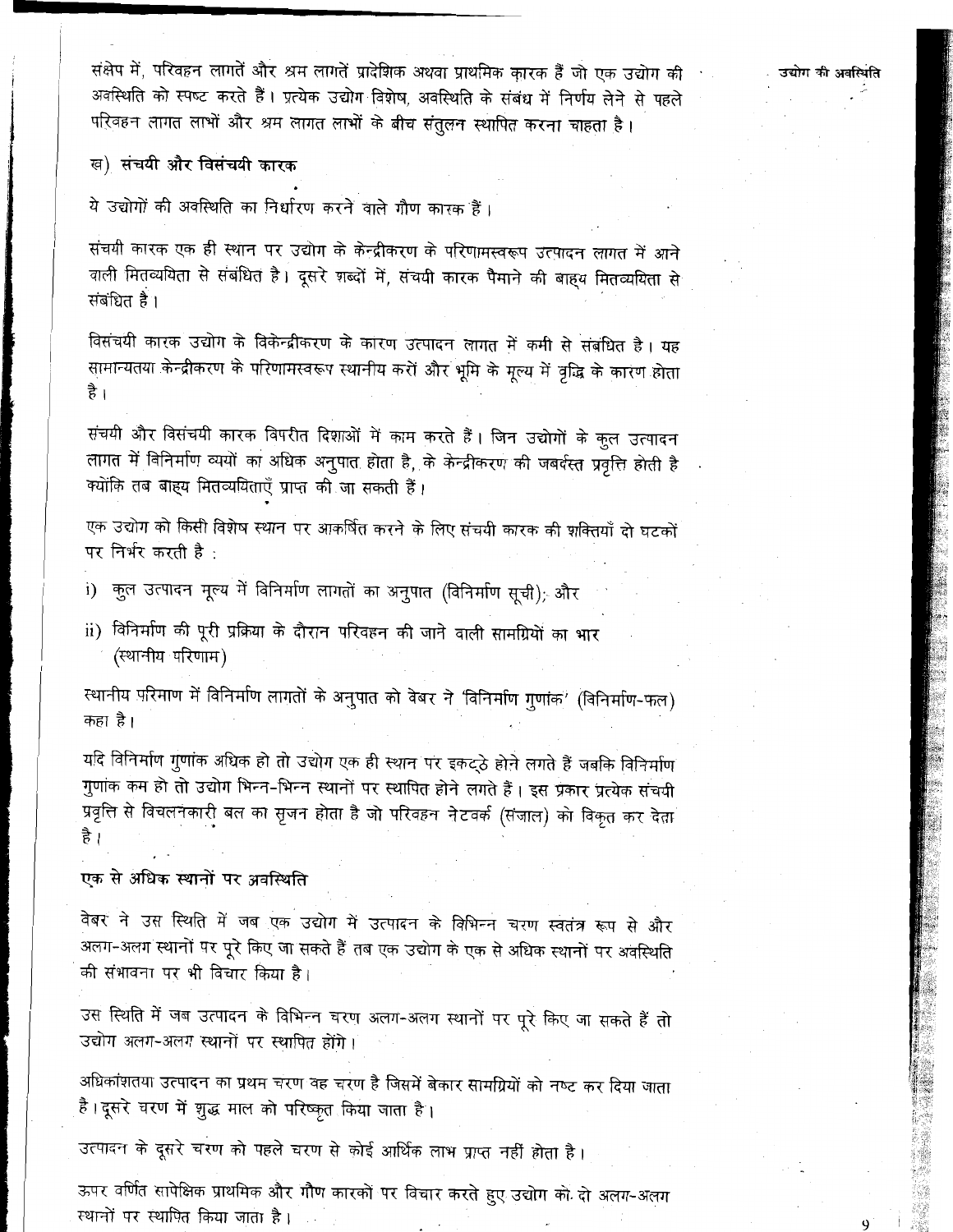संक्षेप में, परिवहन लागतें और श्रम लागतें प्रादेशिक अथवा प्राथमिक कारक हैं जो एक उद्योग की अवस्थिति को स्पष्ट करते हैं। प्रत्येक उद्योग विशेष, अवस्थिति के संबंध में निर्णय लेने से पहले परिवहन लागत लाभों और श्रम लागत लाभों के बीच संतुलन स्थापित करना चाहता है।

ख) संचयी और विसंचयी कारक

ये उद्योगों की अवस्थिति का निर्धारण करने वाले गौण कारक हैं।

संचयी कारक एक ही स्थान पर उद्योग के केन्द्रीकरण के परिणामस्वरूप उत्पादन लागत में आने वाली मितव्ययिता से संबंधित है। दूसरे शब्दों में, संचयी कारक पैमाने की बाह्य मितव्ययिता से संबंधित है।

विसंचयी कारक उद्योग के विकेन्द्रीकरण के कारण उत्पादन लागत में कमी से संबंधित है। यह सामान्यतया केन्द्रीकरण के परिणामस्वरूप स्थानीय करों और भूमि के मूल्य में वृद्धि के कारण होता है ।

संचयी और विसंचयी कारक विपरीत दिशाओं में काम करते हैं। जिन उद्योगों के कुल उत्पादन लागत में विनिर्माण व्ययों का अधिक अनुपात होता है, के केन्द्रीकरण की जबर्दस्त प्रवृत्ति होती है क्योंकि तब बाह्य मितव्ययिताएँ प्राप्त की जा सकती हैं।

एक उद्योग को किसी विशेष स्थान पर आकर्षित करने के लिए संचयी कारक की शक्तियाँ दो घटकों पर निर्भर करती है:

- कुल उत्पादन मूल्य में विनिर्माण लागतों का अनुपात (विनिर्माण सूची); और  $i)$
- ii) विनिर्माण की पूरी प्रक्रिया के दौरान परिवहन की जाने वाली सामग्रियों का भार (स्थानीय परिणाम)

स्थानीय परिमाण में विनिर्माण लागतों के अनुपात को वेबर ने 'विनिर्माण गुणांक' (विनिर्माण-फल) कहा है।

यदि विनिर्माण गुणांक अधिक हो तो उद्योग एक ही स्थान पर इकट्ठे होने लगते हैं जबकि विनिर्माण गुणांक कम हो तो उद्योग भिन्न-भिन्न स्थानों पर स्थापित होने लगते हैं। इस प्रकार प्रत्येक संचयी प्रवृत्ति से विचलनकारी बल का सृजन होता है जो परिवहन नेटवर्क (संजाल) को विकृत कर देता है ।

### एक से अधिक स्थानों पर अवस्थिति

वेबर ने उस स्थिति में जब एक उद्योग में उत्पादन के विभिन्न चरण स्वतंत्र रूप से और अलग-अलग स्थानों पर पूरे किए जा सकते हैं तब एक उद्योग के एक से अधिक स्थानों पर अवस्थिति की संभावना पर भी विचार किया है।

उस स्थिति में जब उत्पादन के विभिन्न चरण अलग-अलग स्थानों पर पूरे किए जा सकते हैं तो उद्योग अलग-अलग स्थानों पर स्थापित होंगे।

अधिकांशतया उत्पादन का प्रथम चरण वह चरण है जिसमें बेकार सामग्रियों को नष्ट कर दिया जाता हैं। दूसरे चरण में शुद्ध माल को परिष्कृत किया जाता है।

उत्पादन के दूसरे चरण को पहले चरण से कोई आर्थिक लाभ प्राप्त नहीं होता है।

ऊपर वर्णित सापेक्षिक प्राथमिक और गौण कारकों पर विचार करते हुए उद्योग को दो अलग-अलग स्थानों पर स्थापित किया जाता है।

उद्योग की अवस्थिति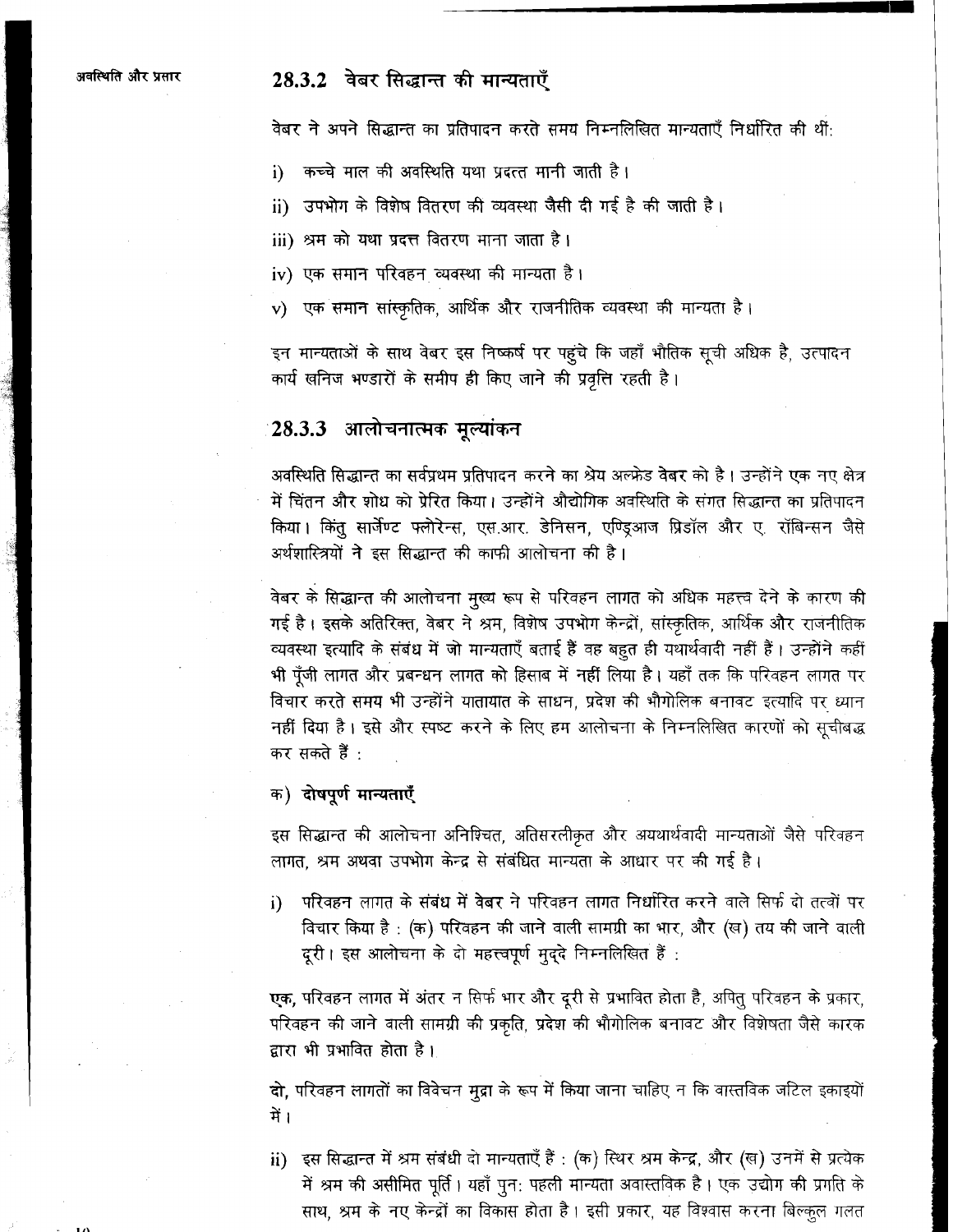## 28.3.2 वेबर सिद्धान्त की मान्यताएँ

वेबर ने अपने सिद्धान्त का प्रतिपादन करते समय निम्नलिखित मान्यताएँ निर्धारित की थीं:

- कच्चे माल की अवस्थिति यथा प्रदत्त मानी जाती है। i)
- ii) उपभोग के विशेष वितरण की व्यवस्था जैसी दी गई है की जाती है।
- iii) श्रम को यथा प्रदत्त वितरण माना जाता है।
- iv) एक समान परिवहन व्यवस्था की मान्यता है।
- v) एक समान सांस्कृतिक, आर्थिक और राजनीतिक व्यवस्था की मान्यता है।

इन मान्यताओं के साथ वेबर इस निष्कर्ष पर पहुंचे कि जहाँ भौतिक सूची अधिक है, उत्पादन कार्य खनिज भण्डारों के समीप ही किए जाने की प्रवृत्ति रहती है।

## :28.3.3 आलोचनात्मक मूल्यांकन

अवस्थिति सिद्धान्त का सर्वप्रथम प्रतिपादन करने का श्रेय अल्फ्रेड वेबर को है। उन्होंने एक नए क्षेत्र में चिंतन और शोध को प्रेरित किया। उन्होंने औद्योगिक अवस्थिति के संगत सिद्धान्त का प्रतिपादन किया। किंतु सार्जेण्ट फ्लोरेन्स, एस.आर. डेनिसन, एण्ड्आज प्रिडॉल और ए. रॉबिन्सन जैसे अर्थशास्त्रियों ने इस सिद्धान्त की काफी आलोचना की है।

वेबर के सिद्धान्त की आलोचना मुख्य रूप से परिवहन लागत को अधिक महत्त्व देने के कारण की गई है। इसके अतिरिक्त, वेबर ने श्रम, विशेष उपभोग केन्द्रों, सांस्कृतिक, आर्थिक और राजनीतिक व्यवस्था इत्यादि के संबंध में जो मान्यताएँ बताई हैं वह बहुत ही यथार्थवादी नहीं हैं। उन्होंने कहीं भी पूँजी लागत और प्रबन्धन लागत को हिसाब में नहीं लिया है। यहाँ तक कि परिवहन लागत पर विचार करते समय भी उन्होंने यातायात के साधन, प्रदेश की भौगोलिक बनावट इत्यादि पर ध्यान नहीं दिया है। इसे और स्पष्ट करने के लिए हम आलोचना के निम्नलिखित कारणों को सूचीबद्ध कर सकते हैं :

क) दोषपूर्ण मान्यताएँ

इस सिद्धान्त की आलोचना अनिश्चित, अतिसरलीकृत और अयथार्थवादी मान्यताओं जैसे परिवहन लागत, श्रम अथवा उपभोग केन्द्र से संबंधित मान्यता के आधार पर की गई है।

परिवहन लागत के संबंध में वेबर ने परिवहन लागत निर्धारित करने वाले सिर्फ दो तत्वों पर i) विचार किया है : (क) परिवहन की जाने वाली सामग्री का भार, और (ख) तय की जाने वाली दूरी। इस आलोचना के दो महत्त्वपूर्ण मुद्दे निम्नलिखित हैं:

एक, परिवहन लागत में अंतर न सिर्फ भार और दूरी से प्रभावित होता है, अपितु परिवहन के प्रकार, परिवहन की जाने वाली सामग्री की प्रकृति, प्रदेश की भौगोलिक बनावट और विशेषता जैसे कारक द्वारा भी प्रभावित होता है।

दो, परिवहन लागतों का विवेचन मूद्रा के रूप में किया जाना चाहिए न कि वास्तविक जटिल इकाइयों में ।

ii) इस सिद्धान्त में श्रम संबंधी दो मान्यताएँ हैं: (क) स्थिर श्रम केन्द्र, और (ख) उनमें से प्रत्येक में श्रम की असीमित पूर्ति। यहाँ पुन: पहली मान्यता अवास्तविक है। एक उद्योग की प्रगति के साथ, श्रम के नए केन्द्रों का विकास होता है। इसी प्रकार, यह विश्वास करना बिल्कुल गलत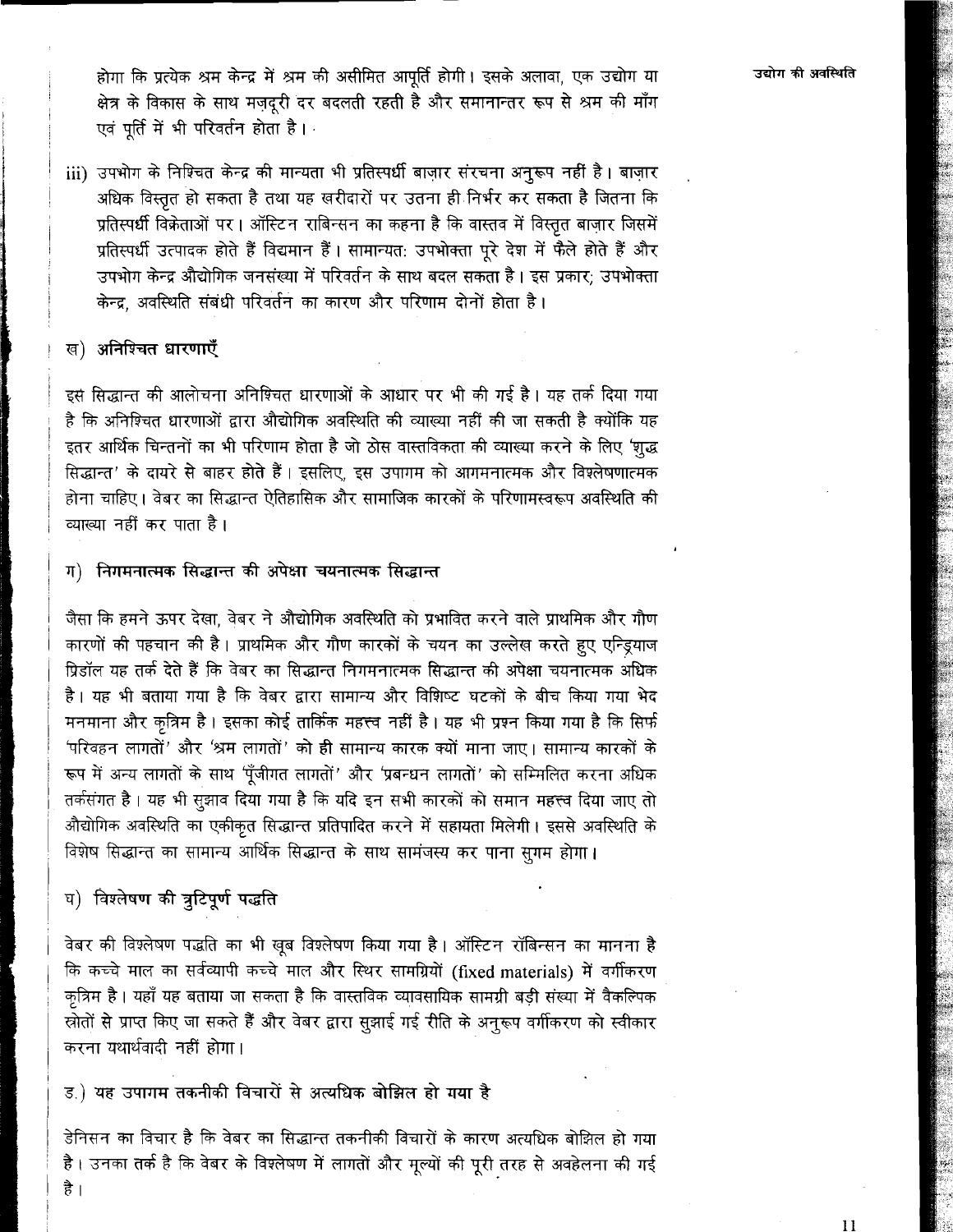iii) उपभोग के निश्चित केन्द्र की मान्यता भी प्रतिस्पर्धी बाज़ार संरचना अनुरूप नहीं है। बाज़ार अधिक विस्तृत हो सकता है तथा यह खरीदारों पर उतना ही निर्भर कर सकता है जितना कि प्रतिस्पर्धी विक्रेताओं पर। ऑस्टिन राबिन्सन का कहना है कि वास्तव में विस्तृत बाजार जिसमें प्रतिस्पर्धी उत्पादक होते हैं विद्यमान हैं। सामान्यत: उपभोक्ता पूरे देश में फैले होते हैं और उपभोग केन्द्र औद्योगिक जनसंख्या में परिवर्तन के साथ बदल सकता है। इस प्रकार; उपभोक्ता केन्द्र अवस्थिति संबंधी परिवर्तन का कारण और परिणाम दोनों होता है।

### ख) अनिश्चित धारणाएँ

इस सिद्धान्त की आलोचना अनिश्चित धारणाओं के आधार पर भी की गई है। यह तर्क दिया गया है कि अनिश्चित धारणाओं द्वारा औद्योगिक अवस्थिति की व्याख्या नहीं की जा सकती है क्योंकि यह इतर आर्थिक चिन्तनों का भी परिणाम होता है जो ठोस वास्तविकता की व्याख्या करने के लिए 'श्रद्ध सिद्धान्त' के दायरे से बाहर होते हैं। इसलिए, इस उपागम को आगमनात्मक और विश्लेषणात्मक होना चाहिए। वेबर का सिद्धान्त ऐतिहासिक और सामाजिक कारकों के परिणामस्वरूप अवस्थिति की व्याख्या नहीं कर पाता है।

### ग) निगमनात्मक सिद्धान्त की अपेक्षा चयनात्मक सिद्धान्त

जैसा कि हमने ऊपर देखा, वेबर ने औद्योगिक अवस्थिति को प्रभावित करने वाले प्राथमिक और गौण कारणों की पहचान की है। प्राथमिक और गौण कारकों के चयन का उल्लेख करते हुए एन्ड्रियाज प्रिडॉल यह तर्क देते हैं कि वेबर का सिद्धान्त निगमनात्मक सिद्धान्त की अपेक्षा चयनात्मक अधिक है। यह भी बताया गया है कि वेबर द्वारा सामान्य और विशिष्ट घटकों के बीच किया गया भेद मनमाना और कृत्रिम है। इसका कोई तार्किक महत्त्व नहीं है। यह भी प्रश्न किया गया है कि सिर्फ 'परिवहन लागतों' और 'श्रम लागतों' को ही सामान्य कारक क्यों माना जाए। सामान्य कारकों के रूप में अन्य लागतों के साथ 'पूँजीगत लागतों' और 'प्रबन्धन लागतों' को सम्मिलित करना अधिक तर्कसंगत है। यह भी सूझाव दिया गया है कि यदि इन सभी कारकों को समान महत्त्व दिया जाए तो औद्योगिक अवस्थिति का एकीकृत सिद्धान्त प्रतिपादित करने में सहायता मिलेगी। इससे अवस्थिति के विशेष सिद्धान्त का सामान्य आर्थिक सिद्धान्त के साथ सामंजस्य कर पाना सुगम होगा।

## घ) विश्लेषण की त्रुटिपूर्ण पद्धति

है ।

वेबर की विश्लेषण पद्धति का भी खुब विश्लेषण किया गया है। ऑस्टिन रॉबिन्सन का मानना है कि कच्चे माल का सर्वव्यापी कच्चे माल और स्थिर सामग्रियों (fixed materials) में वर्गीकरण कृत्रिम है। यहाँ यह बताया जा सकता है कि वास्तविक व्यावसायिक सामग्री बडी संख्या में वैकल्पिक स्रोतों से प्राप्त किए जा सकते हैं और वेबर द्वारा सुझाई गई रीति के अनुरूप वर्गीकरण को स्वीकार करना यथार्थवादी नहीं होगा।

## ड.) यह उपागम तकनीकी विचारों से अत्यधिक बोझिल हो गया है

डेनिसन का विचार है कि वेबर का सिद्धान्त तकनीकी विचारों के कारण अत्यधिक बोझिल हो गया है। उनका तर्क है कि वेबर के विश्लेषण में लागतों और मूल्यों की पूरी तरह से अवहेलना की गई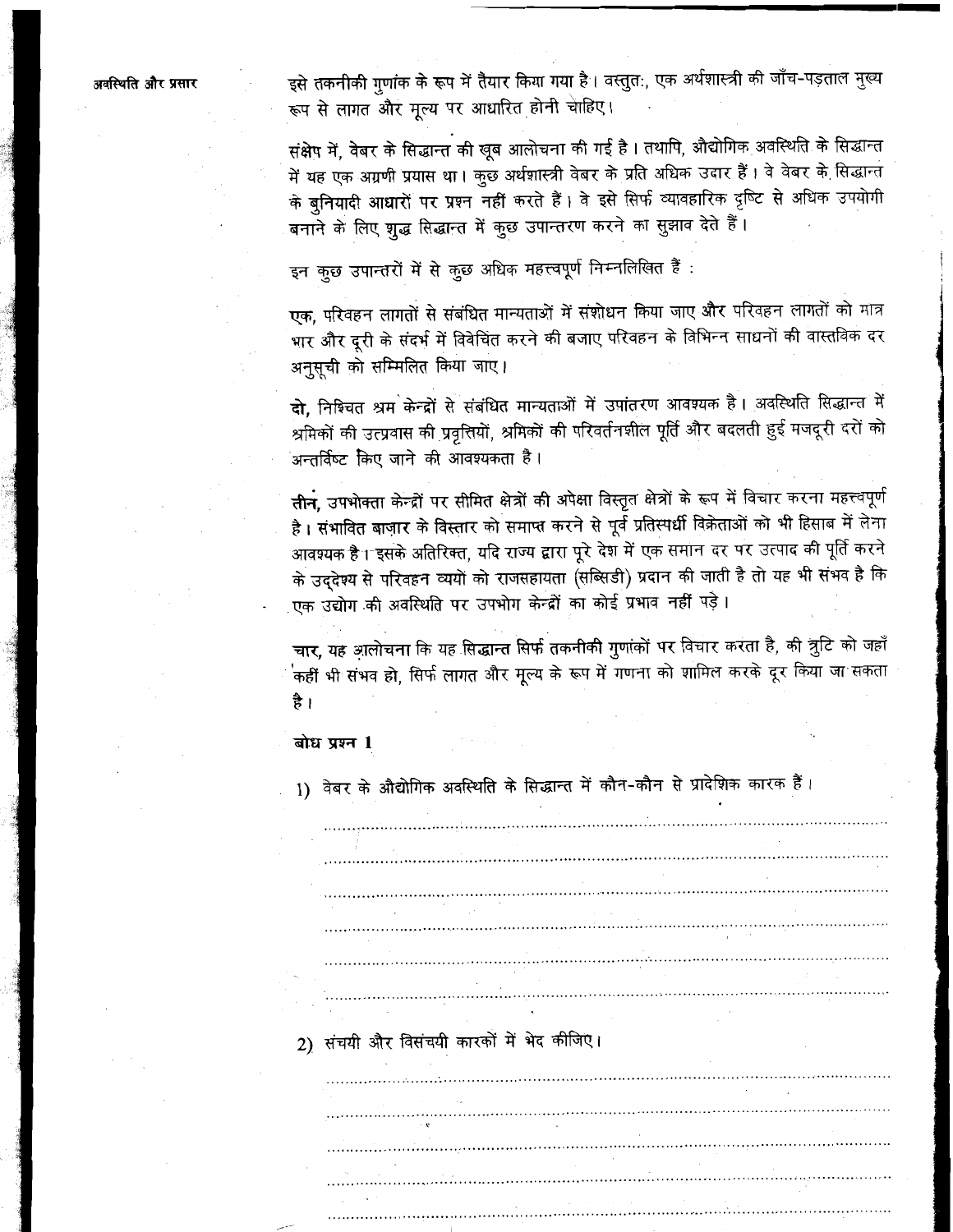अवस्थिति और प्रसार

इसे तकनीकी गुणांक के रूप में तैयार किया गया है। वस्तुत:, एक अर्थशास्त्री की जाँच-पड़ताल मुख्य रूप से लागत और मूल्य पर आधारित होनी चाहिए।

संक्षेप में, वेबर के सिद्धान्त की खूब आलोचना की गई है। तथापि, औद्योगिक अवस्थिति के सिद्धान्त में यह एक अग्रणी प्रयास था। कुछ अर्थशास्त्री वेबर के प्रति अधिक उदार हैं। वे वेबर के सिद्धान्त के बुनियादी आधारों पर प्रश्न नहीं करते हैं। वे इसे सिर्फ व्यावहारिक दृष्टि से अधिक उपयोगी बनाने के लिए शुद्ध सिद्धान्त में कुछ उपान्तरण करने का सुझाव देते हैं।

इन कुछ उपान्तरों में से कुछ अधिक महत्त्वपूर्ण निम्नलिखित हैं :

एक, परिवहन लागतों से संबंधित मान्यताओं में संशोधन किया जाए और परिवहन लागतों को मात्र भार और दूरी के संदर्भ में विवेचित करने की बजाए परिवहन के विभिन्न साधनों की वास्तविक दर अनुसूची को सम्मिलित किया जाए।

दो, निश्चित श्रम केन्द्रों से संबंधित मान्यताओं में उपांतरण आवश्यक है। अवस्थिति सिद्धान्त में श्रमिकों की उत्प्रवास की प्रवृत्तियों, श्रमिकों की परिवर्तनशील पूर्ति और बदलती हुई मजदूरी दरों को अन्तर्विष्ट किए जाने की आवश्यकता है।

तीन, उपभोक्ता केन्द्रों पर सीमित क्षेत्रों की अपेक्षा विस्तृत क्षेत्रों के रूप में विचार करना महत्त्वपूर्ण है। संभावित बाज़ार के विस्तार को समाप्त करने से पूर्व प्रतिस्पर्धी विक्रेताओं को भी हिसाब में लेना आवश्यक है। इसके अतिरिक्त, यदि राज्य द्वारा पूरे देश में एक समान दर पर उत्पाद की पूर्ति करने के उद्देश्य से परिवहन व्ययों को राजसहायता (सब्सिडी) प्रदान की जाती है तो यह भी संभव है कि एक उद्योग की अवस्थिति पर उपभोग केन्द्रों का कोई प्रभाव नहीं पड़े।

चार, यह आलोचना कि यह सिद्धान्त सिर्फ तकनीकी गुणांकों पर विचार करता है, की त्रूटि को जहाँ .<br>'कहीं भी संभव हो, सिर्फ लागत और मूल्य के रूप में गणना को शामिल करके दूर किया जा सकता है ।

बोध प्रश्न 1

1) वेबर के औद्योगिक अवस्थिति के सिद्धान्त में कौन-कौन से प्रादेशिक कारक हैं।

2) संचयी और विसंचयी कारकों में भेद कीजिए।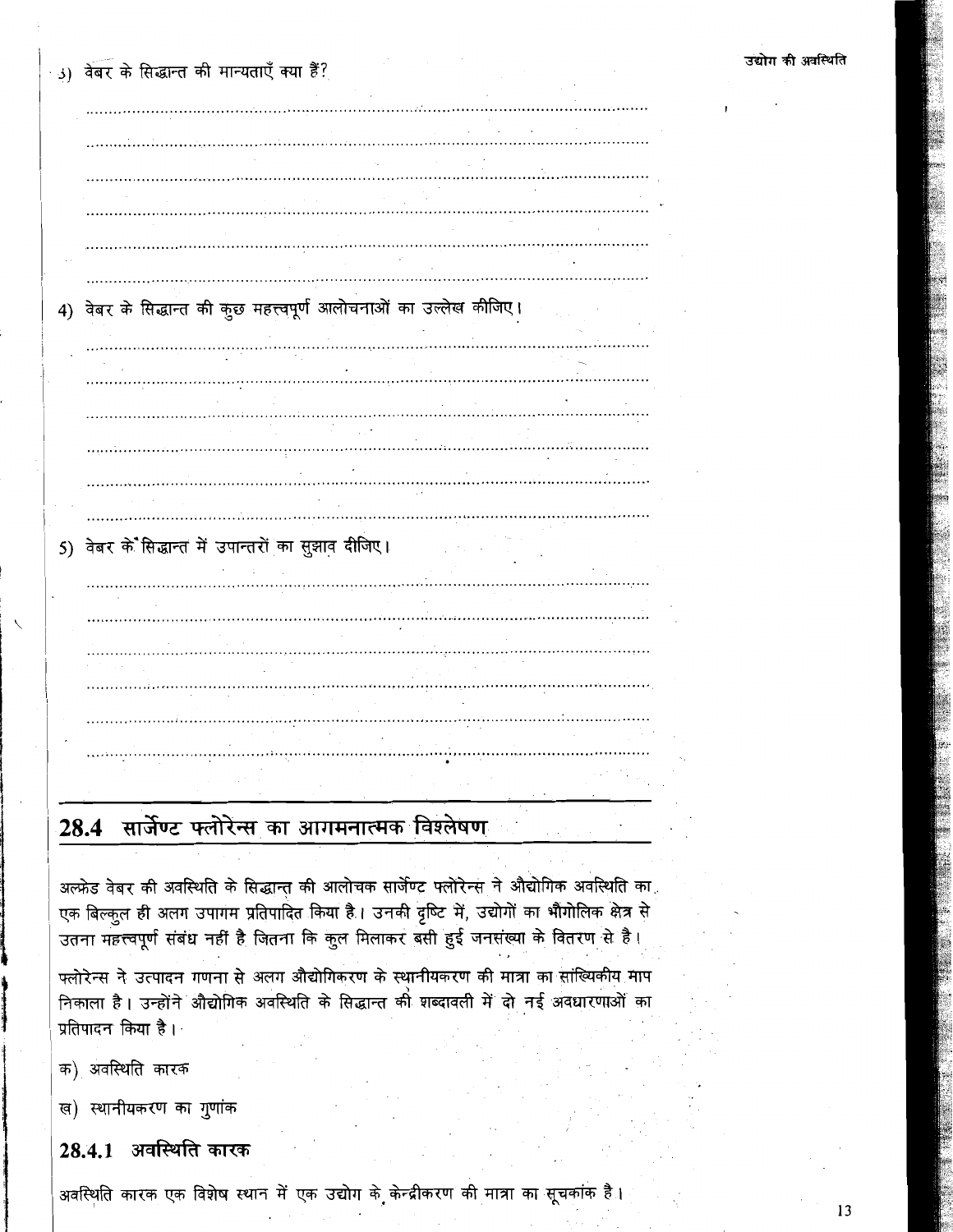. (و.) वेबर के सिद्धान्त की मान्यताएँ क्या हैं:

4) वेबर के सिद्धान्त की कुछ महत्त्वपूर्ण आलोचनाओं का उल्लेख कीजिए। 5) वेबर के सिद्धान्त में उपान्तरों का सूझाव दीजिए।

# 28.4 सार्जेण्ट फ्लोरेन्स का आगमनात्मक विश्लेषण

अल्फ्रेड वेबर की अवस्थिति के सिद्धान्त की आलोचक सार्जेण्ट फ्लोरेन्स ने औद्योगिक अवस्थिति का एक बिल्कूल ही अलग उपागम प्रतिपादित किया है। उनकी दृष्टि में, उद्योगों का भौगोलिक क्षेत्र से उतना महत्त्वपूर्ण संबंध नहीं है जितना कि कुल मिलाकर बसी हुई जनसंख्या के वितरण से है।

फ्लोरेन्स ने उत्पादन गणना से अलग औद्योगिकरण के स्थानीयकरण की मात्रा का सांख्यिकीय माप निकाला है। उन्होंने औद्योगिक अवस्थिति के सिद्धान्त को शब्दावली में दो नई अवधारणाओं का प्रतिपादन किया है। ।

क) अवस्थिति कारक

ख) स्थानीयकरण का गुणांक

## 28.4.1 अवस्थिति कारक

अवस्थिति कारक एक विशेष स्थान में एक उद्योग के केन्द्रीकरण की मात्रा का सूचकांक है।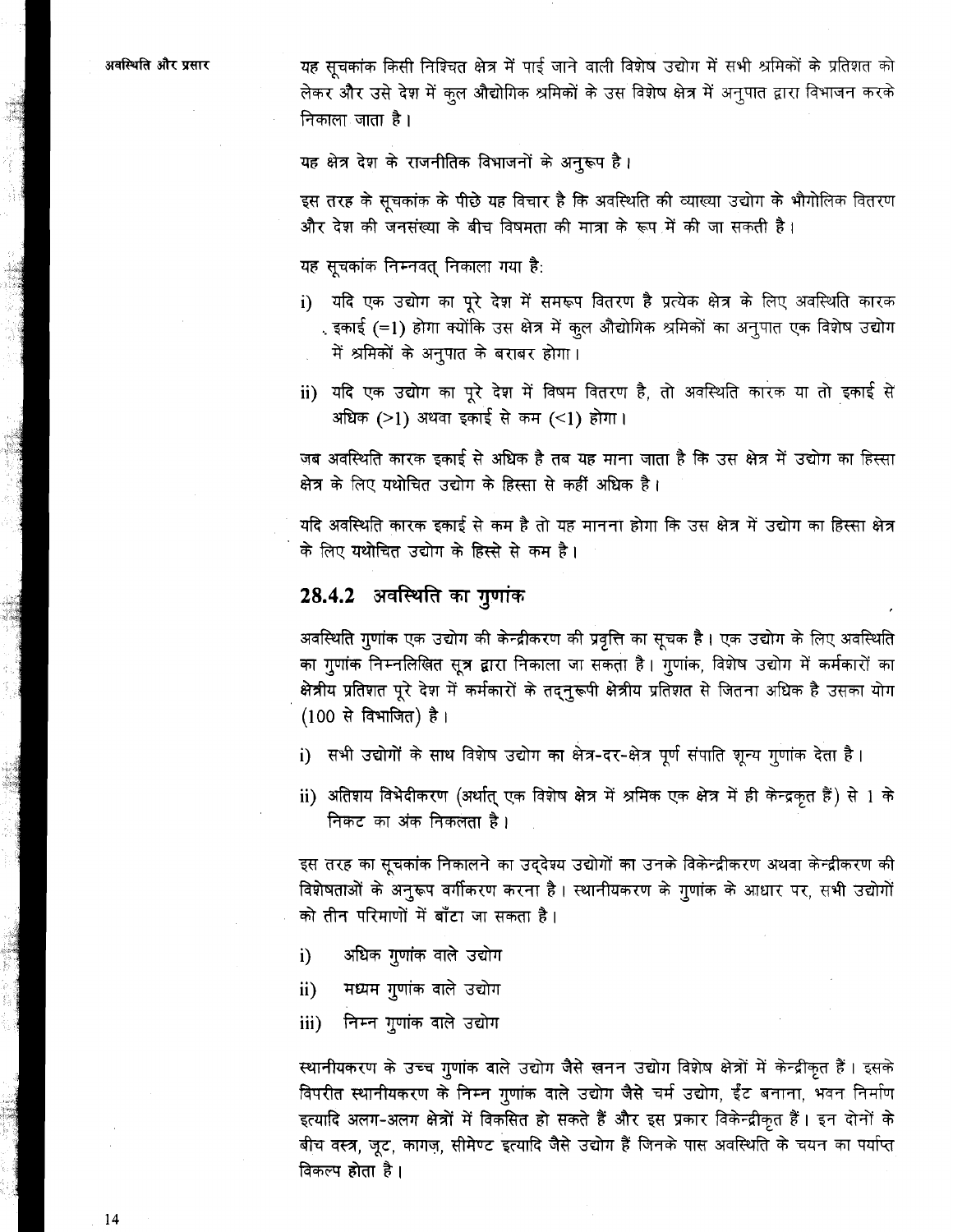यह सूचकांक किसी निश्चित क्षेत्र में पाई जाने वाली विशेष उद्योग में सभी श्रमिकों के प्रतिशत को लेकर और उसे देश में कुल औद्योगिक श्रमिकों के उस विशेष क्षेत्र में अनुपात द्वारा विभाजन करके निकाला जाता है।

यह क्षेत्र देश के राजनीतिक विभाजनों के अनुरूप है।

इस तरह के सूचकांक के पीछे यह विचार है कि अवस्थिति की व्याख्या उद्योग के भौगोलिक वितरण और देश की जनसंख्या के बीच विषमता की मात्रा के रूप में की जा सकती है।

यह सूचकांक निम्नवत् निकाला गया है:

- i) यदि एक उद्योग का पूरे देश में समरूप वितरण है प्रत्येक क्षेत्र के लिए अवस्थिति कारक . इकाई (=1) होगा क्योंकि उस क्षेत्र में कुल औद्योगिक श्रमिकों का अनुपात एक विशेष उद्योग में श्रमिकों के अनुपात के बराबर होगा।
- ii) यदि एक उद्योग का पूरे देश में विषम वितरण है, तो अवस्थिति कारक या तो इकाई से अधिक (>1) अथवा इकाई से कम (<1) होगा।

जब अवस्थिति कारक इकाई से अधिक है तब यह माना जाता है कि उस क्षेत्र में उद्योग का हिस्सा क्षेत्र के लिए यथोचित उद्योग के हिस्सा से कहीं अधिक है।

यदि अवस्थिति कारक इकाई से कम है तो यह मानना होगा कि उस क्षेत्र में उद्योग का हिस्सा क्षेत्र के लिए यथोचित उद्योग के हिस्से से कम है।

## 28.4.2 अवस्थिति का गुणांक

अवस्थिति गुणांक एक उद्योग की केन्द्रीकरण की प्रवृत्ति का सूचक है। एक उद्योग के लिए अवस्थिति का गुणांक निम्नलिखित सूत्र द्वारा निकाला जा सकता है। गुणांक, विशेष उद्योग में कर्मकारों का क्षेत्रीय प्रतिशत पूरे देश में कर्मकारों के तद्नुरूपी क्षेत्रीय प्रतिशत से जितना अधिक है उसका योग (100 से विभाजित) है।

- i) सभी उद्योगों के साथ विशेष उद्योग का क्षेत्र-दर-क्षेत्र पूर्ण संपाति शून्य गुणांक देता है।
- ii) अतिशय विभेदीकरण (अर्थात् एक विशेष क्षेत्र में श्रमिक एक क्षेत्र में ही केन्द्रकृत हैं) से 1 के निकट का अंक निकलता है।

इस तरह का सूचकांक निकालने का उद्देश्य उद्योगों का उनके विकेन्द्रीकरण अथवा केन्द्रीकरण की विशेषताओं के अनुरूप वर्गीकरण करना है। स्थानीयकरण के गुणांक के आधार पर, सभी उद्योगों को तीन परिमाणों में बाँटा जा सकता है।

- $i)$ अधिक गुणांक वाले उद्योग
- मध्यम गुणांक वाले उद्योग  $\mathbf{ii}$
- निम्न गुणांक वाले उद्योग iii)

स्थानीयकरण के उच्च गुणांक वाले उद्योग जैसे खनन उद्योग विशेष क्षेत्रों में केन्द्रीकृत हैं। इसके विपरीत स्थानीयकरण के निम्न गुणांक वाले उद्योग जैसे चर्म उद्योग, ईंट बनाना, भवन निर्माण इत्यादि अलग-अलग क्षेत्रों में विकसित हो सकते हैं और इस प्रकार विकेन्द्रीकृत हैं। इन दोनों के बीच वस्त्र, जूट, कागज़, सीमेण्ट इत्यादि जैसे उद्योग हैं जिनके पास अवस्थिति के चयन का पर्याप्त विकल्प होता है।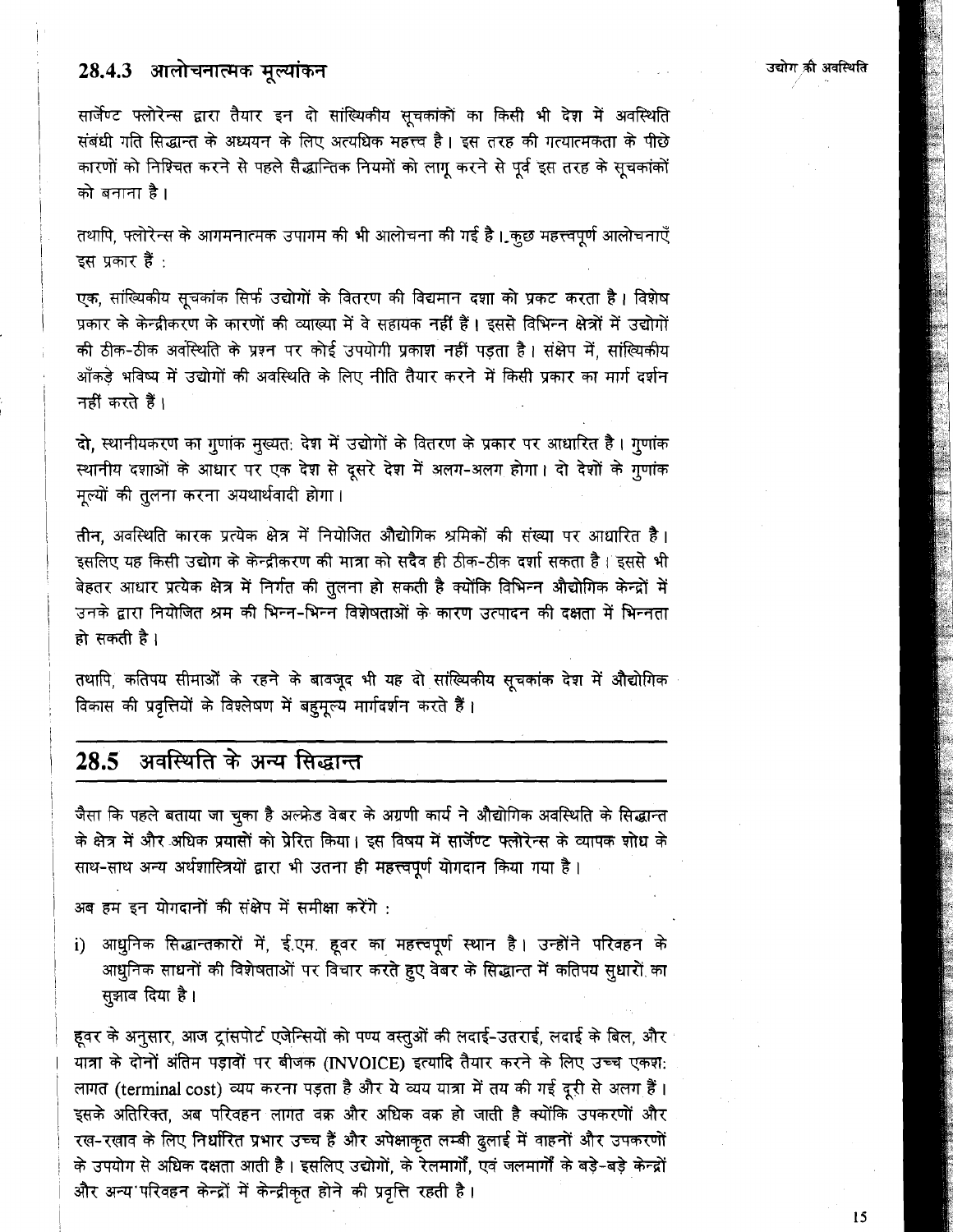## 28.4.3 आलोचनात्मक मूल्यांकन

सार्जेण्ट फ्लोरेन्स द्वारा तैयार इन दो सांख्यिकीय सूचकांकों का किसी भी देश में अवस्थिति संबंधी गति सिद्धान्त के अध्ययन के लिए अत्यधिक महत्त्व है। इस तरह की गत्यात्मकता के पीछे कारणों को निश्चित करने से पहले सैद्धान्तिक नियमों को लागू करने से पूर्व इस तरह के सूचकांकों को बनाना है ।

तथापि, फ्लोरेन्स के आगमनात्मक उपागम की भी आलोचना की गई है। कुछ महत्त्वपूर्ण आलोचनाएँ इस प्रकार हैं :

एक, सांख्यिकीय सूचकांक सिर्फ उद्योगों के वितरण की विद्यमान दशा को प्रकट करता है। विशेष प्रकार के केन्द्रीकरण के कारणों की व्याख्या में वे सहायक नहीं हैं। इससे विभिन्न क्षेत्रों में उद्योगों की ठीक-ठीक अवस्थिति के प्रश्न पर कोई उपयोगी प्रकाश नहीं पडता है। संक्षेप में, सांख्यिकीय आँकड़े भविष्य में उद्योगों की अवस्थिति के लिए नीति तैयार करने में किसी प्रकार का मार्ग दर्शन नहीं करते हैं।

दो, स्थानीयकरण का गुणांक मुख्यत: देश में उद्योगों के वितरण के प्रकार पर आधारित है। गुणांक स्थानीय दशाओं के आधार पर एक देश से दूसरे देश में अलग-अलग होगा। दो देशों के गुणांक मूल्यों की तुलना करना अयथार्थवादी होगा।

तीन, अवस्थिति कारक प्रत्येक क्षेत्र में नियोजित औद्योगिक श्रमिकों की संख्या पर आधारित है। इसलिए यह किसी उद्योग के केन्द्रीकरण की मात्रा को सदैव ही ठीक-ठीक दर्शा सकता है । इससे भी बेहतर आधार प्रत्येक क्षेत्र में निर्गत की तुलना हो सकती है क्योंकि विभिन्न औद्योगिक केन्द्रों में उनके द्वारा नियोजित श्रम की भिन्न-भिन्न विशेषताओं के कारण उत्पादन की दक्षता में भिन्नता हो सकती है।

तथापि, कतिपय सीमाओं के रहने के बावजूद भी यह दो सांख्यिकीय सूचकांक देश में औद्योगिक विकास की प्रवृत्तियों के विश्लेषण में बहुमूल्य मार्गदर्शन करते हैं।

#### अवस्थिति के अन्य सिद्धान्त  $28.5$

जैसा कि पहले बताया जा चुका है अल्फ्रेड वेबर के अग्रणी कार्य ने औद्योगिक अवस्थिति के सिद्धान्त के क्षेत्र में और अधिक प्रयासों को प्रेरित किया। इस विषय में सार्जेण्ट फ्लोरेन्स के व्यापक शोध के साथ-साथ अन्य अर्थशास्त्रियों द्वारा भी उतना ही महत्त्वपूर्ण योगदान किया गया है।

अब हम इन योगदानों की संक्षेप में समीक्षा करेंगे :

i) आधुनिक सिद्धान्तकारों में, ई.एम. हूवर का महत्त्वपूर्ण स्थान है। उन्होंने परिवहन के आधुनिक साधनों की विशेषताओं पर विचार करते हुए वेबर के सिद्धान्त में कतिपय सुधारों का सुझाव दिया है।

हूवर के अनुसार, आज ट्रांसपोर्ट एजेन्सियों को पण्य वस्तुओं की लदाई-उतराई, लदाई के बिल, और यात्रा के दोनों अंतिम पड़ावों पर बीजक (INVOICE) इत्यादि तैयार करने के लिए उच्च एकश: लागत (terminal cost) व्यय करना पड़ता है और ये व्यय यात्रा में तय की गई दूरी से अलग हैं। इसके अतिरिक्त, अब परिवहन लागत वक्र और अधिक वक्र हो जाती है क्योंकि उपकरणों और रख-रखाव के लिए निर्धारित प्रभार उच्च हैं और अपेक्षाकृत लम्बी दुलाई में वाहनों और उपकरणों के उपयोग से अधिक दक्षता आती है। इसलिए उद्योगों, के रेलमार्गों, एवं जलमार्गों के बड़े-बड़े केन्द्रों और अन्य परिवहन केन्द्रों में केन्द्रीकृत होने की प्रवृत्ति रहती है।

 $15$ 

उद्योग की अवस्थिति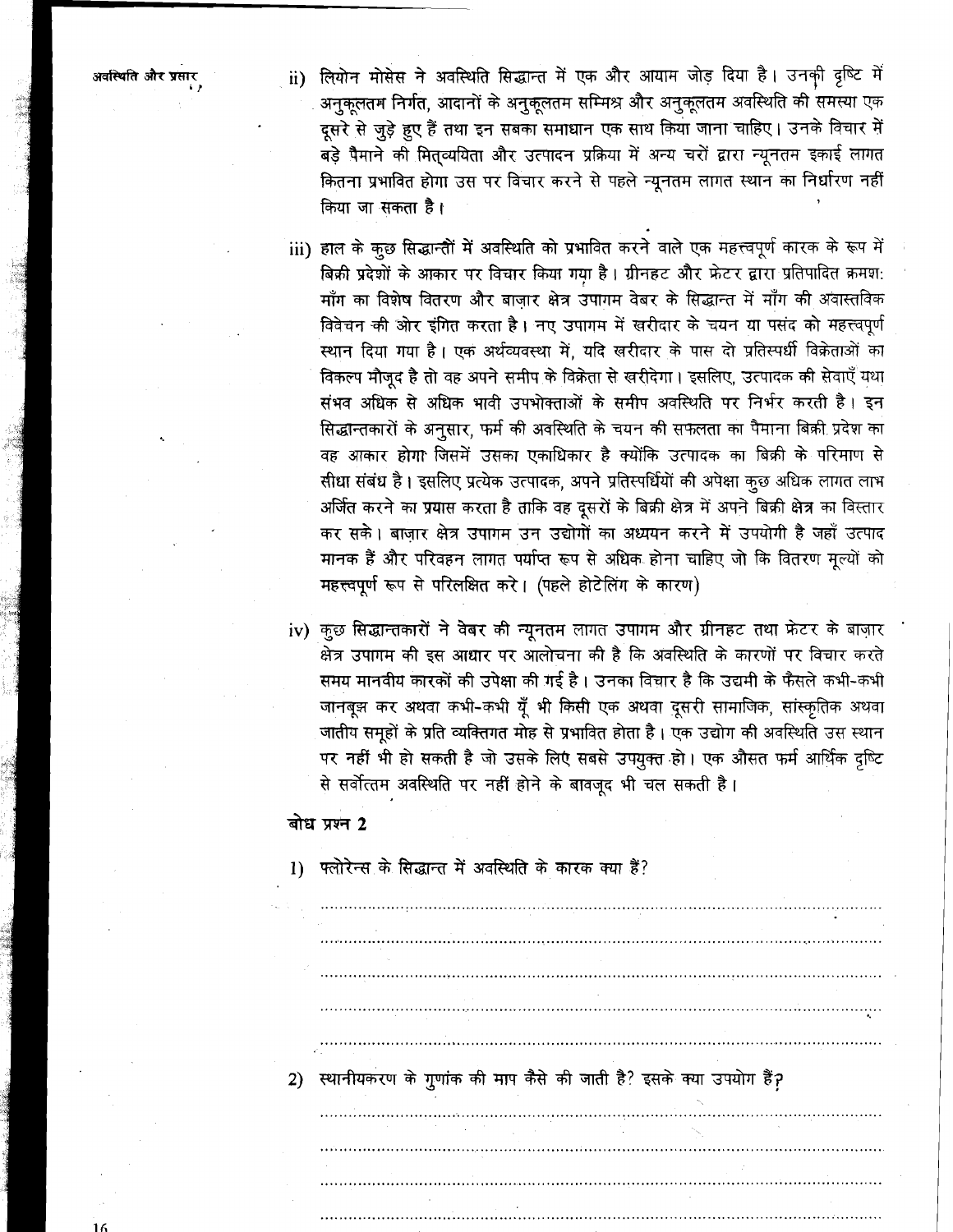- लियोन मोसेस ने अवस्थिति सिद्धान्त में एक और आयाम जोड़ दिया है। उनकी दृष्टि में  $\ddot{a}$ अनुकूलतम निर्गत, आदानों के अनुकूलतम सम्मिश्र और अनुकूलतम अवस्थिति की समस्या एक दूसरे से जुड़े हुए हैं तथा इन सबका समाधान एक साथ किया जाना चाहिए। उनके विचार में बड़े पैमाने की मित्व्ययिता और उत्पादन प्रक्रिया में अन्य चरों द्वारा न्यूनतम इकाई लागत कितना प्रभावित होगा उस पर विचार करने से पहले न्यूनतम लागत स्थान का निर्धारण नहीं किया जा सकता है।
- iii) हाल के कूछ सिद्धान्तीं में अवस्थिति को प्रभावित करने वाले एक महत्त्वपूर्ण कारक के रूप में बिक्री प्रदेशों के आकार पर विचार किया गया है। ग्रीनहट और फ्रेटर द्वारा प्रतिपादित क्रमश: माँग का विशेष वितरण और बाजार क्षेत्र उपागम वेबर के सिद्धान्त में माँग की अवास्तविक विवेचन की ओर इंगित करता है। नए उपागम में खरीदार के चयन या पसंद को महत्त्वपूर्ण स्थान दिया गया है। एक अर्थव्यवस्था में, यदि खरीदार के पास दो प्रतिस्पर्धी विक्रेताओं का विकल्प मौजूद है तो वह अपने समीप के विक्रेता से खरीदेगा। इसलिए, उत्पादक की सेवाएँ यथा संभव अधिक से अधिक भावी उपभोक्ताओं के समीप अवस्थिति पर निर्भर करती है। इन सिद्धान्तकारों के अनुसार, फर्म की अवस्थिति के चयन की सफलता का पैमाना बिक्री प्रदेश का वह आकार होगा जिसमें उसका एकाधिकार है क्योंकि उत्पादक का बिक्री के परिमाण से सीधा संबंध है। इसलिए प्रत्येक उत्पादक, अपने प्रतिस्पर्धियों की अपेक्षा कुछ अधिक लागत लाभ अर्जित करने का प्रयास करता है ताकि वह दूसरों के बिक्री क्षेत्र में अपने बिक्री क्षेत्र का विस्तार कर सके। बाजार क्षेत्र उपागम उन उद्योगों का अध्ययन करने में उपयोगी है जहाँ उत्पाद मानक हैं और परिवहन लागत पर्याप्त रूप से अधिक होना चाहिए जो कि वितरण मूल्यों को महत्त्वपूर्ण रूप से परिलक्षित करे। (पहले होटेलिंग के कारण)
- iv) कुछ सिद्धान्तकारों ने वेबर की न्यूनतम लागत उपागम और ग्रीनहट तथा फ्रेटर के बाज़ार क्षेत्र उपागम की इस आधार पर आलोचना की है कि अवस्थिति के कारणों पर विचार करते समय मानवीय कारकों की उपेक्षा की गई है। उनका विचार है कि उद्यमी के फैसले कभी-कभी जानबूझ कर अथवा कभी-कभी यूँ भी किसी एक अथवा दूसरी सामाजिक, सांस्कृतिक अथवा .<br>जातीय समूहों के प्रति व्यक्तिगत मोह से प्रभावित होता है। एक उद्योग की अवस्थिति उस स्थान पर नहीं भी हो सकती है जो उसके लिए सबसे उपयुक्त हो। एक औसत फर्म आर्थिक दृष्टि से सर्वोत्तम अवस्थिति पर नहीं होने के बावजूद भी चल सकती है।

## बोध प्रश्न 2

1) फ्लोरेन्स के सिद्धान्त में अवस्थिति के कारक क्या हैं?

2) स्थानीयकरण के गुणांक की माप कैसे की जाती है? इसके क्या उपयोग हैं?

अवस्थिति और प्रसार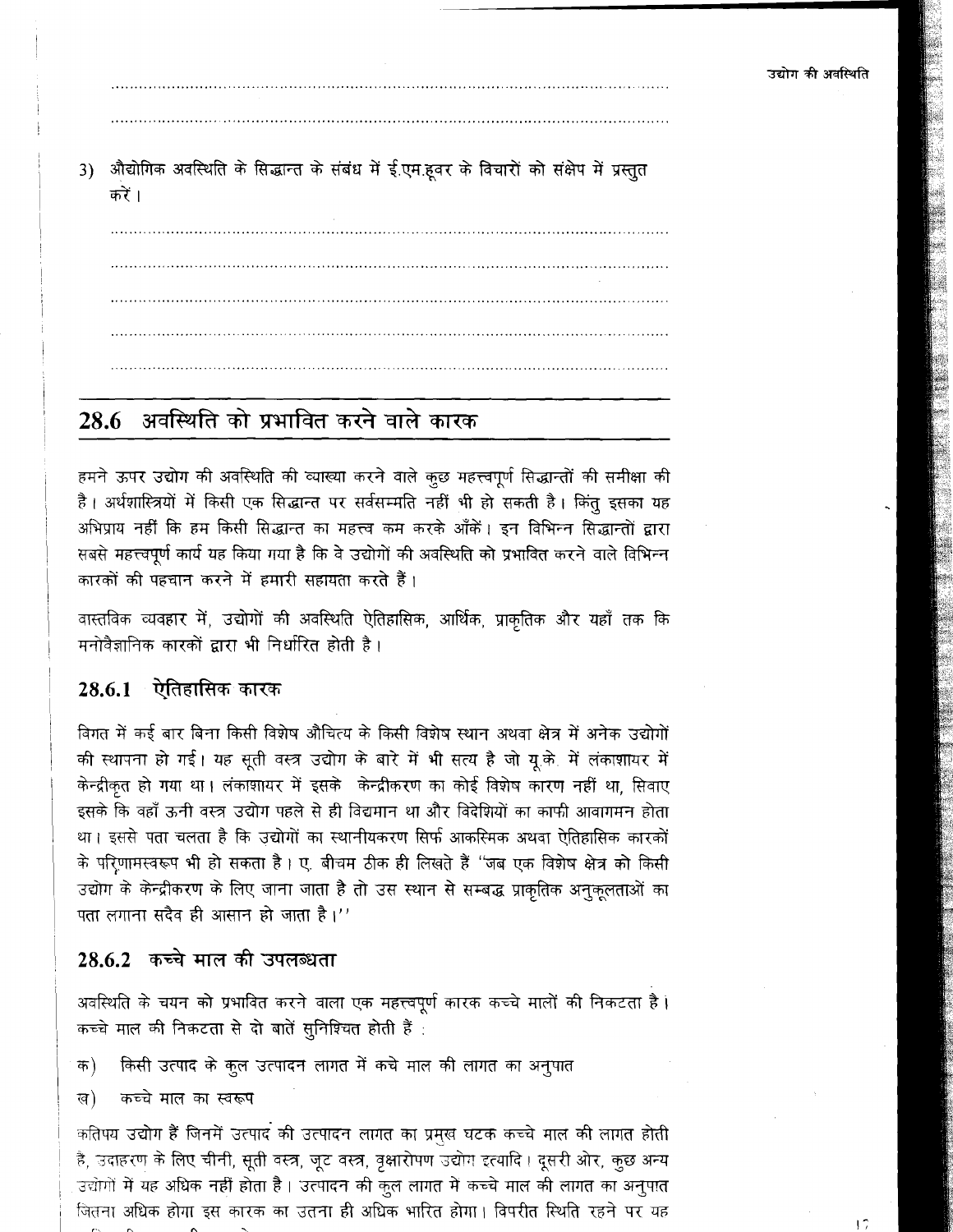17

3) औद्योगिक अवस्थिति के सिद्धान्त के संबंध में ई.एम.हूवर के विचारों को संक्षेप में प्रस्तुत करें ।

# 28.6 अवस्थिति को प्रभावित करने वाले कारक

हमने ऊपर उद्योग की अवस्थिति की व्याख्या करने वाले कुछ महत्त्वपूर्ण सिद्धान्तों की समीक्षा की है। अर्थशास्त्रियों में किसी एक सिद्धान्त पर सर्वसम्मति नहीं भी हो सकती है। किंतू इसका यह अभिप्राय नहीं कि हम किसी सिद्धान्त का महत्त्व कम करके आँकें। इन विभिन्न सिद्धान्तों द्वारा सबसे महत्त्वपूर्ण कार्य यह किया गया है कि वे उद्योगों की अवस्थिति को प्रभावित करने वाले विभिन्न कारकों की पहचान करने में हमारी सहायता करते हैं।

वास्तविक व्यवहार में, उद्योगों की अवस्थिति ऐतिहासिक, आर्थिक, प्राकृतिक और यहाँ तक कि मनोवैज्ञानिक कारकों द्वारा भी निर्धारित होती है।

## 28.6.1 ऐतिहासिक कारक

विगत में कई बार बिना किसी विशेष औचित्य के किसी विशेष स्थान अथवा क्षेत्र में अनेक उद्योगों की स्थापना हो गई। यह सूती वस्त्र उद्योग के बारे में भी सत्य है जो यू.के. में लंकाशायर में केन्द्रीकृत हो गया था। लंकाशायर में इसके केन्द्रीकरण का कोई विशेष कारण नहीं था, सिवाए इसके कि वहाँ ऊनी वस्त्र उद्योग पहले से ही विद्यमान था और विदेशियों का काफी आवागमन होता था। इससे पता चलता है कि उद्योगों का स्थानीयकरण सिर्फ आकस्मिक अथवा ऐतिहासिक कारकों के परिणामस्वरूप भी हो सकता है। ए. बीचम ठीक ही लिखते हैं "जब एक विशेष क्षेत्र को किसी उद्योग के केन्द्रीकरण के लिए जाना जाता है तो उस स्थान से सम्बद्ध प्राकृतिक अनुकूलताओं का पता लगाना सदैव ही आसान हो जाता है।''

## 28.6.2 कच्चे माल की उपलब्धता

अवस्थिति के चयन को प्रभावित करने वाला एक महत्त्वपूर्ण कारक कच्चे मालों की निकटता है। कच्चे माल की निकटता से दो बातें सुनिश्चित होती हैं :

किसी उत्पाद के कुल उत्पादन लागत में कचे माल की लागत का अनुपात क)

कच्चे मात का स्वरूप ख)

कतिपय उद्योग हैं जिनमें उत्पाद की उत्पादन लागत का प्रमुख घटक कच्चे माल की लागत होती है, उदाहरण के लिए चीनी, सूती वस्त्र, जूट वस्त्र, वृक्षारोपण उद्योग इत्यादि। दूसरी ओर, कुछ अन्य उद्योगों में यह अधिक नहीं होता है। उत्पादन की कुल लागत में कच्चे माल की लागत का अनुपात जितना अधिक होगा इस कारक का उतना ही अधिक भारित होगा। विपरीत स्थिति रहने पर यह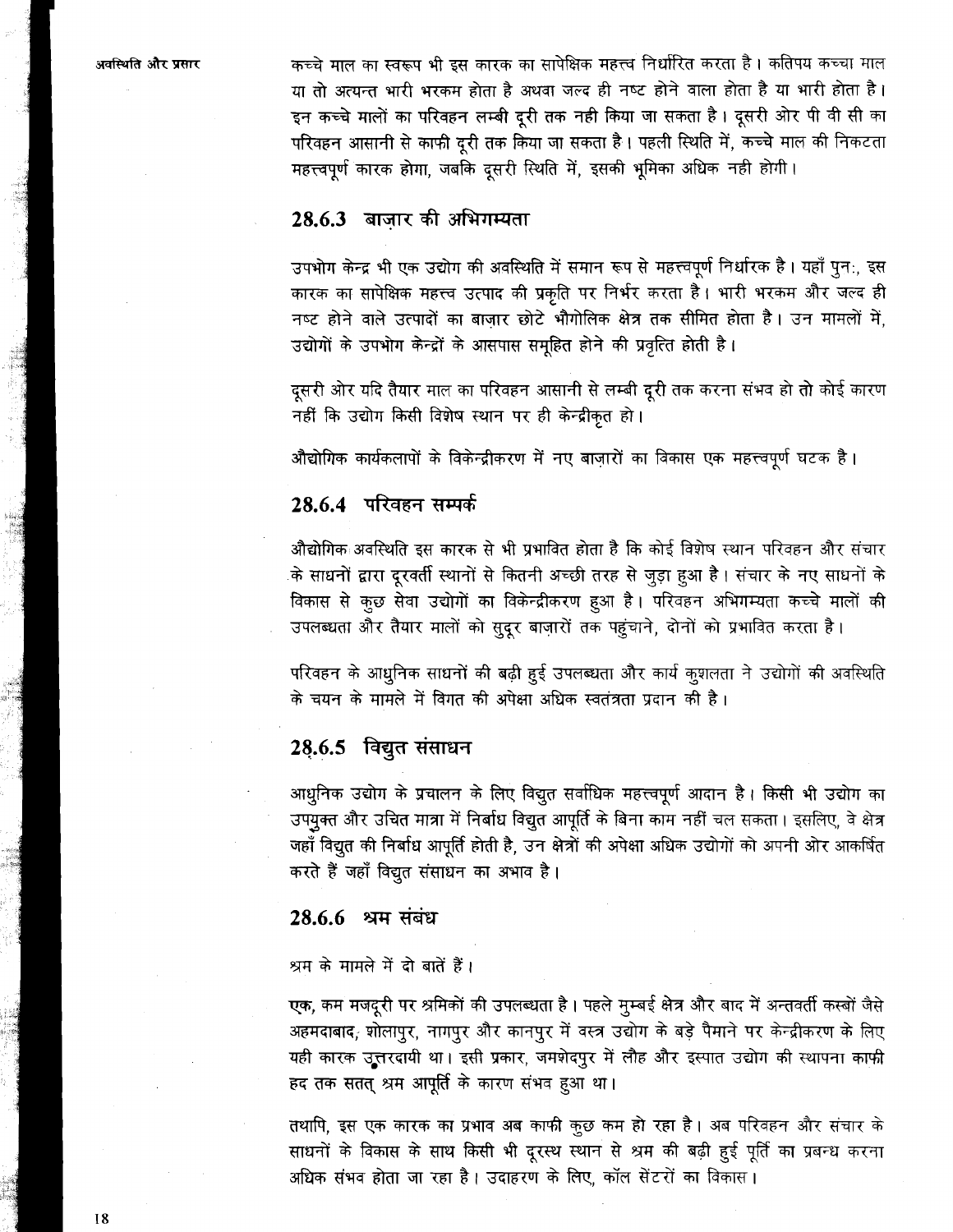कच्चे माल का स्वरूप भी इस कारक का सापेक्षिक महत्त्व निर्धारित करता है। कतिपय कच्चा माल या तो अत्यन्त भारी भरकम होता है अथवा जल्द ही नष्ट होने वाला होता है या भारी होता है। इन कच्चे मालों का परिवहन लम्बी दूरी तक नही किया जा सकता है। दूसरी ओर पी वी सी का परिवहन आसानी से काफी दूरी तक किया जा सकता है। पहली स्थिति में, कच्चे माल की निकटता महत्त्वपूर्ण कारक होगा, जबकि दूसरी स्थिति में, इसकी भूमिका अधिक नही होगी।

## 28.6.3 बाज़ार की अभिगम्यता

उपभोग केन्द्र भी एक उद्योग की अवस्थिति में समान रूप से महत्त्वपूर्ण निर्धारक है। यहाँ पुन:, इस कारक का सापेक्षिक महत्त्व उत्पाद की प्रकृति पर निर्भर करता है। भारी भरकम और जल्द ही नष्ट होने वाले उत्पादों का बाजार छोटे भौगोलिक क्षेत्र तक सीमित होता है। उन मामलों में, उद्योगों के उपभोग केन्द्रों के आसपास समूहित होने की प्रवृत्ति होती है।

दूसरी ओर यदि तैयार माल का परिवहन आसानी से लम्बी दूरी तक करना संभव हो तो कोई कारण नहीं कि उद्योग किसी विशेष स्थान पर ही केन्द्रीकृत हो।

औद्योगिक कार्यकलापों के विकेन्द्रीकरण में नए बाज़ारों का विकास एक महत्त्वपूर्ण घटक है।

## 28.6.4 परिवहन सम्पर्क

औद्योगिक अवस्थिति इस कारक से भी प्रभावित होता है कि कोई विशेष स्थान परिवहन और संचार के साधनों द्वारा दूरवर्ती स्थानों से कितनी अच्छी तरह से जुड़ा हुआ है। संचार के नए साधनों के विकास से कुछ सेवा उद्योगों का विकेन्द्रीकरण हूआ है। परिवहन अभिगम्यता कच्चे मालों की उपलब्धता और तैयार मालों को सुदूर बाज़ारों तक पहुंचाने, दोनों को प्रभावित करता है।

परिवहन के आधुनिक साधनों की बढ़ी हुई उपलब्धता और कार्य कुशलता ने उद्योगों की अवस्थिति के चयन के मामले में विगत की अपेक्षा अधिक स्वतंत्रता प्रदान की है।

### 28.6.5 विद्युत संसाधन

आधुनिक उद्योग के प्रचालन के लिए विद्युत सर्वाधिक महत्त्वपूर्ण आदान है। किसी भी उद्योग का उपयुक्त और उचित मात्रा में निर्बाध विद्युत आपूर्ति के बिना काम नहीं चल सकता। इसलिए, वे क्षेत्र जहाँ विद्युत की निर्बाध आपूर्ति होती है, उन क्षेत्रों की अपेक्षा अधिक उद्योगों को अपनी ओर आकर्षित करते हैं जहाँ विद्युत संसाधन का अभाव है।

### 28.6.6 श्रम संबंध

श्रम के मामले में दो बातें हैं।

एक, कम मजदूरी पर श्रमिकों की उपलब्धता है। पहले मुम्बई क्षेत्र और बाद में अन्तवर्ती कस्बों जैसे अहमदाबाद, शोलापुर, नागपुर और कानपुर में वस्त्र उद्योग के बड़े पैमाने पर केन्द्रीकरण के लिए यही कारक उत्तरदायी था। इसी प्रकार, जमशेदपुर में लौह और इस्पात उद्योग की स्थापना काफी हद तक सतत् श्रम आपूर्ति के कारण संभव हुआ था।

तथापि, इस एक कारक का प्रभाव अब काफी कुछ कम हो रहा है। अब परिवहन और संचार के साधनों के विकास के साथ किसी भी दूरस्थ स्थान से श्रम की बढ़ी हुई पूर्ति का प्रबन्ध करना अधिक संभव होता जा रहा है। उदाहरण के लिए, कॉल सेंटरों का विकास।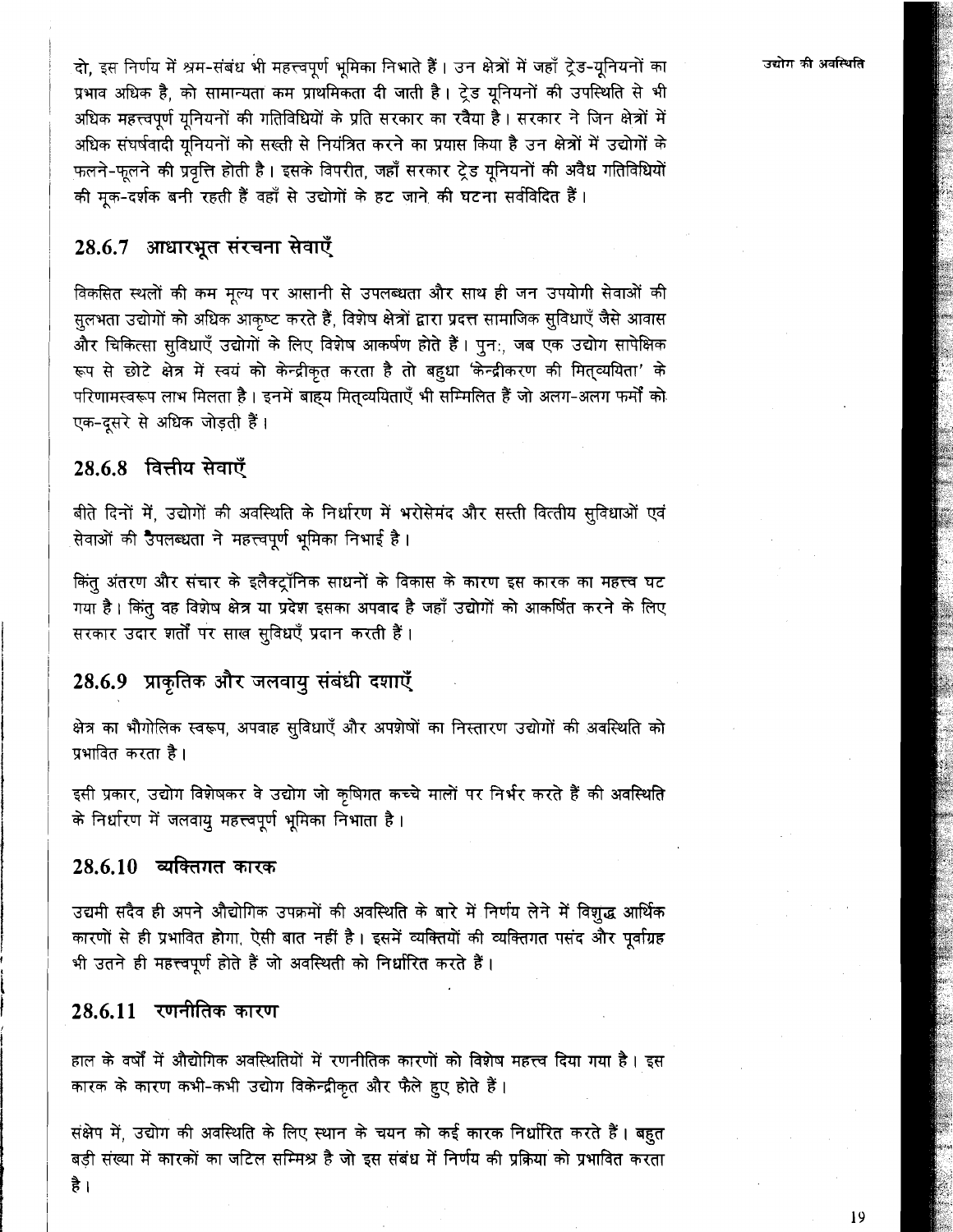दो, इस निर्णय में श्रम-संबंध भी महत्त्वपूर्ण भूमिका निभाते हैं। उन क्षेत्रों में जहाँ ट्रेड-यूनियनों का प्रभाव अधिक है, को सामान्यता कम प्राथमिकता दी जाती है। ट्रेड युनियनों की उपस्थिति से भी अधिक महत्त्वपर्ण यनियनों की गतिविधियों के प्रति सरकार का रवैया है। सरकार ने जिन क्षेत्रों में अधिक संघर्षवादी युनियनों को सख्ती से नियंत्रित करने का प्रयास किया है उन क्षेत्रों में उद्योगों के फलने-फलने की प्रवृत्ति होती है। इसके विपरीत, जहाँ सरकार ट्रेड युनियनों की अवैध गतिविधियों की मुक-दर्शक बनी रहती हैं वहाँ से उद्योगों के हट जाने की घटना सर्वविदित हैं।

## 28.6.7 आधारभूत संरचना सेवाएँ

विकसित स्थलों की कम मूल्य पर आसानी से उपलब्धता और साथ ही जन उपयोगी सेवाओं की सुलभता उद्योगों को अधिक आकृष्ट करते हैं, विशेष क्षेत्रों द्वारा प्रदत्त सामाजिक सुविधाएँ जैसे आवास और चिकित्सा सुविधाएँ उद्योगों के लिए विशेष आकर्षण होते हैं। पुन:, जब एक उद्योग सापेक्षिक रूप से छोटे क्षेत्र में स्वयं को केन्द्रीकृत करता है तो बहुधा 'केन्द्रीकरण की मित्व्ययिता' के परिणामस्वरूप लाभ मिलता है। इनमें बाहय मितव्ययिताएँ भी सम्मिलित हैं जो अलग-अलग फर्मों को एक-दसरे से अधिक जोडती हैं।

## 28.6.8 वित्तीय सेवाएँ

बीते दिनों में, उद्योगों की अवस्थिति के निर्धारण में भरोसेमंद और सस्ती वित्तीय सुविधाओं एवं सेवाओं की उपलब्धता ने महत्त्वपूर्ण भूमिका निभाई है।

किंत अंतरण और संचार के इलैक्ट्रॉनिक साधनों के विकास के कारण इस कारक का महत्त्व घट गया है। किंतू वह विशेष क्षेत्र या प्रदेश इसका अपवाद है जहाँ उद्योगों को आकर्षित करने के लिए सरकार उदार शर्तों पर साख सुविधएँ प्रदान करती हैं।

## 28.6.9 प्राकृतिक और जलवायु संबंधी दशाएँ

क्षेत्र का भौगोलिक स्वरूप, अपवाह सुविधाएँ और अपशेषों का निस्तारण उद्योगों की अवस्थिति को प्रभावित करता है।

इसी प्रकार, उद्योग विशेषकर वे उद्योग जो कृषिगत कच्चे मालों पर निर्भर करते हैं की अवस्थिति के निर्धारण में जलवायु महत्त्वपूर्ण भूमिका निभाता है।

## 28.6.10 व्यक्तिगत कारक

उद्यमी सदैव ही अपने औद्योगिक उपक्रमों की अवस्थिति के बारे में निर्णय लेने में विशुद्ध आर्थिक कारणों से ही प्रभावित होगा, ऐसी बात नहीं है। इसमें व्यक्तियों की व्यक्तिगत पसंद और पूर्वाग्रह भी उतने ही महत्त्वपूर्ण होते हैं जो अवस्थिती को निर्धारित करते हैं।

## 28.6.11 रणनीतिक कारण

हाल के वर्षों में औद्योगिक अवस्थितियों में रणनीतिक कारणों को विशेष महत्त्व दिया गया है। इस कारक के कारण कभी-कभी उद्योग विकेन्द्रीकृत और फैले हुए होते हैं।

संक्षेप में, उद्योग की अवस्थिति के लिए स्थान के चयन को कई कारक निर्धारित करते हैं। बहुत बड़ी संख्या में कारकों का जटिल सम्मिश्र है जो इस संबंध में निर्णय की प्रक्रिया को प्रभावित करता

है ।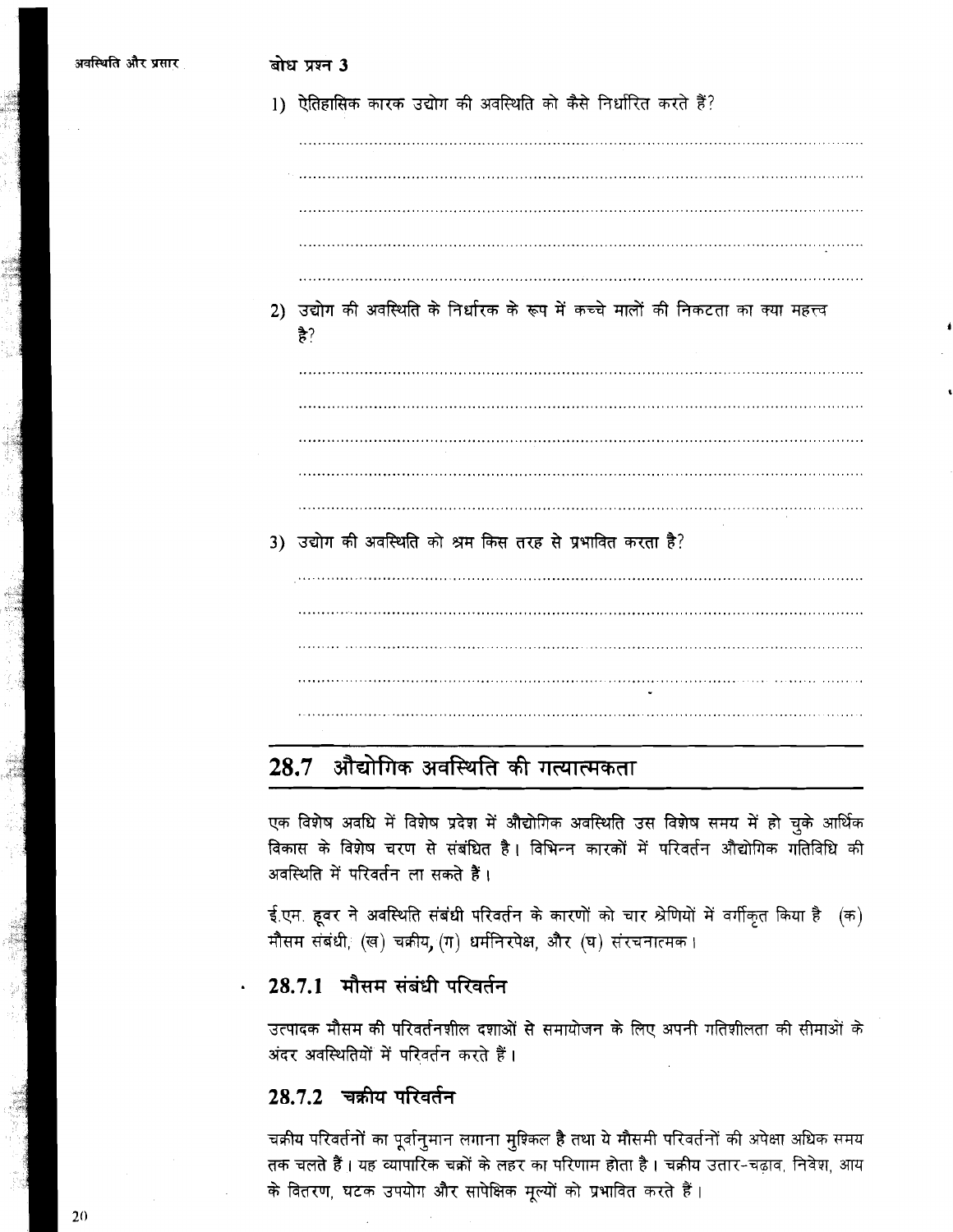|    | 1) ऐतिहासिक कारक उद्योग की अवस्थिति को कैसे निर्धारित करते हैं?                        |
|----|----------------------------------------------------------------------------------------|
|    |                                                                                        |
|    |                                                                                        |
|    |                                                                                        |
|    |                                                                                        |
| 2) | उद्योग की अवस्थिति के निर्धारक के रूप में कच्चे मालों की निकटता का क्या महत्त्व<br>है? |
|    |                                                                                        |
|    |                                                                                        |
|    |                                                                                        |
|    |                                                                                        |
|    | 3) उद्योग की अवस्थिति को श्रम किस तरह से प्रभावित करता है?                             |
|    |                                                                                        |
|    |                                                                                        |
|    |                                                                                        |
|    | .                                                                                      |
|    |                                                                                        |

# 28.7 औद्योगिक अवस्थिति की गत्यात्मकता

एक विशेष अवधि में विशेष प्रदेश में औद्योगिक अवस्थिति उस विशेष समय में हो चुके आर्थिक विकास के विशेष चरण से संबंधित है। विभिन्न कारकों में परिवर्तन औद्योगिक गतिविधि की अवस्थिति में परिवर्तन ला सकते हैं।

ई.एम. हूवर ने अवस्थिति संबंधी परिवर्तन के कारणों को चार श्रेणियों में वर्गीकृत किया है (क) मौसम संबंधी, (ख) चक्रीय, (ग) धर्मनिरपेक्ष, और (घ) संरचनात्मक।

## 28.7.1 मौसम संबंधी परिवर्तन

उत्पादक मौसम की परिवर्तनशील दशाओं से समायोजन के लिए अपनी गतिशीलता की सीमाओं के अंदर अवस्थितियों में परिवर्तन करते हैं।

## 28.7.2 चक्रीय परिवर्तन

चक्रीय परिवर्तनों का पूर्वानुमान लगाना मुश्किल है तथा ये मौसमी परिवर्तनों की अपेक्षा अधिक समय तक चलते हैं। यह व्यापारिक चक्रों के लहर का परिणाम होता है। चक्रीय उतार-चढ़ाव, निवेश, आय के वितरण, घटक उपयोग और सापेक्षिक मूल्यों को प्रभावित करते हैं।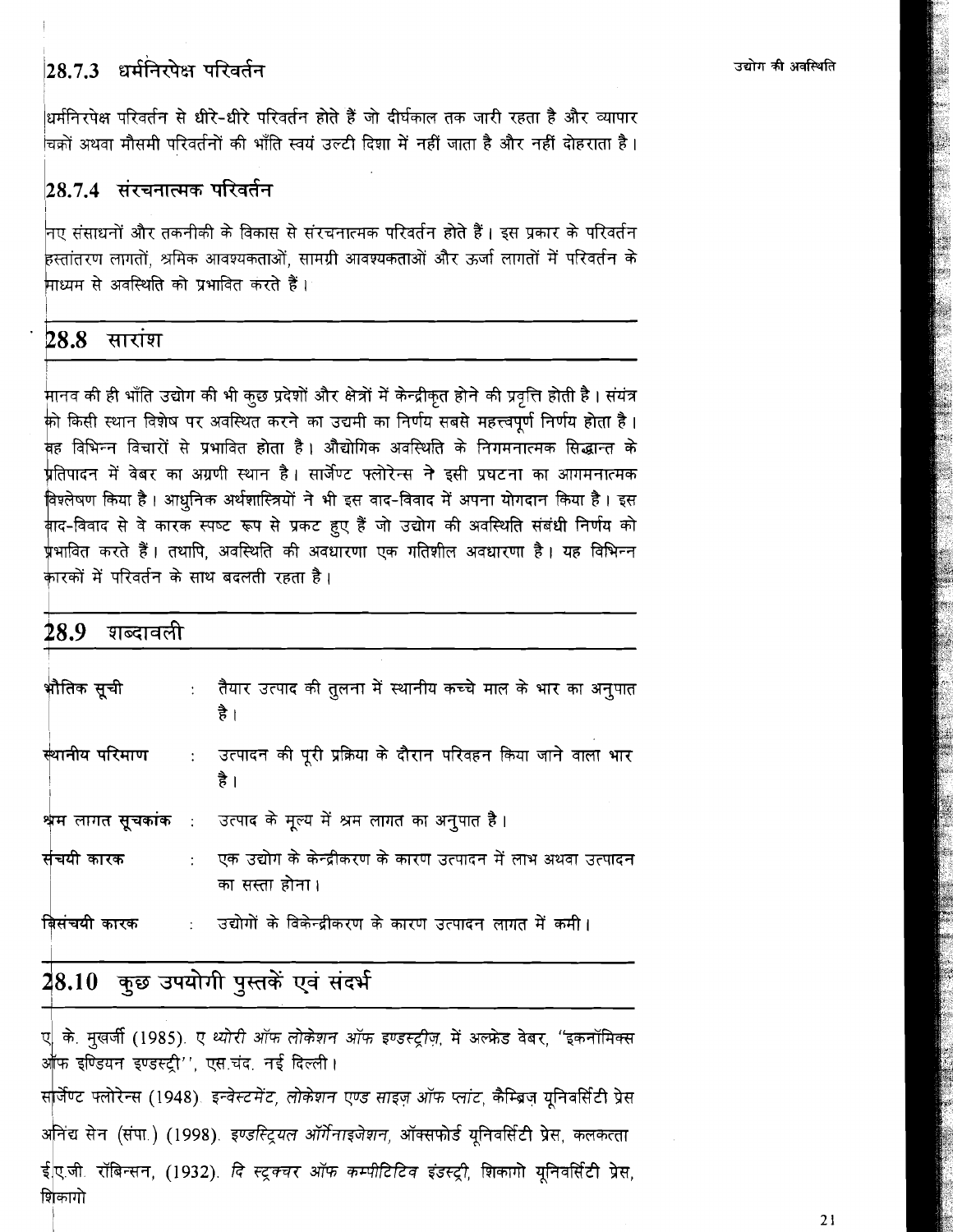28.7.3 धर्मनिरपेक्ष परिवर्तन

उद्योग की अवस्थिति

धर्मनिरपेक्ष परिवर्तन से धीरे-धीरे परिवर्तन होते हैं जो दीर्घकाल तक जारी रहता है और व्यापार .<br>चिक्रों अथवा मौसमी परिवर्तनों की भाँति स्वयं उल्टी दिशा में नहीं जाता है और नहीं दोहराता है ।

## $\vert 28.7.4$  संरचनात्मक परिवर्तन

नए संसाधनों और तकनीकी के विकास से संरचनात्मक परिवर्तन होते हैं । इस प्रकार के परिवर्तन हस्तांतरण लागतों. श्रमिक आवश्यकताओं. सामग्री आवश्यकताओं और ऊर्जा लागतों में परिवर्तन के .<br>माध्यम से अवस्थिति को प्रभावित करते हैं।

## $28.8$  सारांश

मानव की ही भाँति उद्योग की भी कुछ प्रदेशों और क्षेत्रों में केन्द्रीकृत होने की प्रवृत्ति होती है। संयंत्र की किसी स्थान विशेष पर अवस्थित करने का उद्यमी का निर्णय सबसे महत्त्वपूर्ण निर्णय होता है। वह विभिन्न विचारों से प्रभावित होता है। औद्योगिक अवस्थिति के निगमनात्मक सिद्धान्त के .<br>प्रतिपादन में वेबर का अग्रणी स्थान है । सार्जेण्ट फ्लोरेन्स ने इसी प्रघटना का आगमनात्मक विश्लेषण किया है। आधुनिक अर्थशास्त्रियों ने भी इस वाद-विवाद में अपना योगदान किया है। इस क़ैाद-विवाद से वे कारक स्पष्ट रूप से प्रकट हुए हैं जो उद्योग की अवस्थिति संबंधी निर्णय को <u>र्प्रभावित करते हैं। तथापि, अवस्थिति की अवधारणा एक गतिशील अवधारणा है। यह विभिन्न</u> कारकों में परिवर्तन के साथ बदलती रहता है।

| $28.9$ शब्दावली |                             |                                                                                              |  |
|-----------------|-----------------------------|----------------------------------------------------------------------------------------------|--|
| भौतिक सूची      |                             | :     तैयार उत्पाद की तुलना में स्थानीय कच्चे माल के भार का अनुपात<br>है ।                   |  |
|                 |                             | स्थानीय परिमाण     :    उत्पादन की पूरी प्रक्रिया के दौरान परिवहन किया जाने वाला भार<br>है । |  |
|                 |                             | श्वम लागत सूचकांक : उत्पाद के मूल्य में श्रम लागत का अनुपात है।                              |  |
| संचयी कारक      | $\mathbb{R}^{\mathbb{Z}^2}$ | एक उद्योग के केन्द्रीकरण के कारण उत्पादन में लाभ अथवा उत्पादन<br>का सस्ता होना।              |  |
| बिसंचयी कारक    |                             | :    उद्योगों के विकेन्द्रीकरण के कारण उत्पादन लागत में कमी ।                                |  |

# 28.10 कुछ उपयोगी पुस्तकें एवं संदर्भ

ए के. मुखर्जी (1985). ए थ्योरी ऑफ लोकेशन ऑफ इण्डस्ट्रीज़, में अल्फ्रेड वेबर, "इकनॉमिक्स आफ इण्डियन इण्डस्ट्री'' एस.चंद. नई दिल्ली।

सर्जिण्ट फ्लोरेन्स (1948). इन्वेस्टमेंट, लोकेशन एण्ड साइज़ ऑफ प्लांट, कैम्ब्रिज़ यूनिवर्सिटी प्रेस अनिंद्य सेन (संपा.) (1998). इण्डस्ट्रियल ऑर्गेनाइजेशन, ऑक्सफोर्ड यूनिवर्सिटी प्रेस, कलकत्ता ईए.जी. रॉबिन्सन, (1932). *दि स्टूक्चर ऑफ कम्पीटिटिव इंडस्ट्री*, शिकागो यूनिवर्सिटी प्रेस, शिकागो